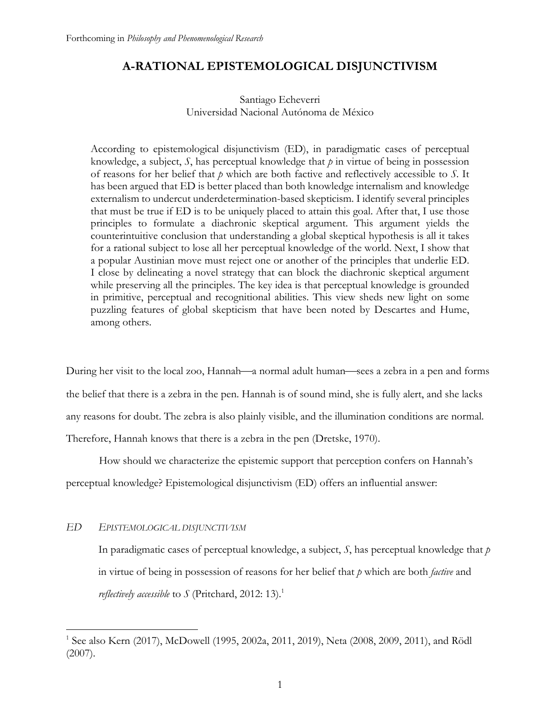# **A-RATIONAL EPISTEMOLOGICAL DISJUNCTIVISM**

# Santiago Echeverri Universidad Nacional Autónoma de México

According to epistemological disjunctivism (ED), in paradigmatic cases of perceptual knowledge, a subject, *S*, has perceptual knowledge that *p* in virtue of being in possession of reasons for her belief that *p* which are both factive and reflectively accessible to *S*. It has been argued that ED is better placed than both knowledge internalism and knowledge externalism to undercut underdetermination-based skepticism. I identify several principles that must be true if ED is to be uniquely placed to attain this goal. After that, I use those principles to formulate a diachronic skeptical argument. This argument yields the counterintuitive conclusion that understanding a global skeptical hypothesis is all it takes for a rational subject to lose all her perceptual knowledge of the world. Next, I show that a popular Austinian move must reject one or another of the principles that underlie ED. I close by delineating a novel strategy that can block the diachronic skeptical argument while preserving all the principles. The key idea is that perceptual knowledge is grounded in primitive, perceptual and recognitional abilities. This view sheds new light on some puzzling features of global skepticism that have been noted by Descartes and Hume, among others.

During her visit to the local zoo, Hannah—a normal adult human—sees a zebra in a pen and forms the belief that there is a zebra in the pen. Hannah is of sound mind, she is fully alert, and she lacks any reasons for doubt. The zebra is also plainly visible, and the illumination conditions are normal. Therefore, Hannah knows that there is a zebra in the pen (Dretske, 1970).

How should we characterize the epistemic support that perception confers on Hannah's

perceptual knowledge? Epistemological disjunctivism (ED) offers an influential answer:

## *ED EPISTEMOLOGICAL DISJUNCTIVISM*

In paradigmatic cases of perceptual knowledge, a subject, *S*, has perceptual knowledge that *p* in virtue of being in possession of reasons for her belief that *p* which are both *factive* and *reflectively accessible* to  $\int$  (Pritchard, 2012: 13).<sup>1</sup>

<sup>&</sup>lt;sup>1</sup> See also Kern (2017), McDowell (1995, 2002a, 2011, 2019), Neta (2008, 2009, 2011), and Rödl (2007).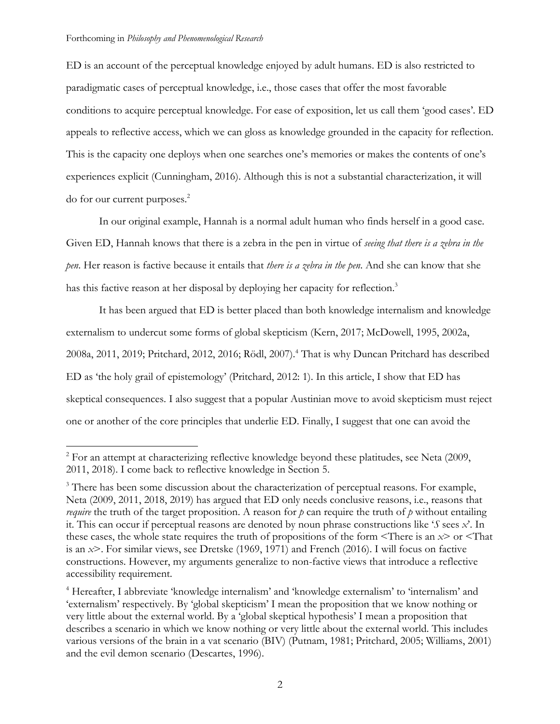ED is an account of the perceptual knowledge enjoyed by adult humans. ED is also restricted to paradigmatic cases of perceptual knowledge, i.e., those cases that offer the most favorable conditions to acquire perceptual knowledge. For ease of exposition, let us call them 'good cases'. ED appeals to reflective access, which we can gloss as knowledge grounded in the capacity for reflection. This is the capacity one deploys when one searches one's memories or makes the contents of one's experiences explicit (Cunningham, 2016). Although this is not a substantial characterization, it will do for our current purposes.<sup>2</sup>

In our original example, Hannah is a normal adult human who finds herself in a good case. Given ED, Hannah knows that there is a zebra in the pen in virtue of *seeing that there is a zebra in the pen*. Her reason is factive because it entails that *there is a zebra in the pen*. And she can know that she has this factive reason at her disposal by deploying her capacity for reflection.<sup>3</sup>

It has been argued that ED is better placed than both knowledge internalism and knowledge externalism to undercut some forms of global skepticism (Kern, 2017; McDowell, 1995, 2002a, 2008a, 2011, 2019; Pritchard, 2012, 2016; Rödl, 2007).4 That is why Duncan Pritchard has described ED as 'the holy grail of epistemology' (Pritchard, 2012: 1). In this article, I show that ED has skeptical consequences. I also suggest that a popular Austinian move to avoid skepticism must reject one or another of the core principles that underlie ED. Finally, I suggest that one can avoid the

 $2$  For an attempt at characterizing reflective knowledge beyond these platitudes, see Neta (2009, 2011, 2018). I come back to reflective knowledge in Section 5.

<sup>&</sup>lt;sup>3</sup> There has been some discussion about the characterization of perceptual reasons. For example, Neta (2009, 2011, 2018, 2019) has argued that ED only needs conclusive reasons, i.e., reasons that *require* the truth of the target proposition. A reason for *p* can require the truth of *p* without entailing it. This can occur if perceptual reasons are denoted by noun phrase constructions like '*S* sees *x*'. In these cases, the whole state requires the truth of propositions of the form <There is an *x*> or <That is an *x*>. For similar views, see Dretske (1969, 1971) and French (2016). I will focus on factive constructions. However, my arguments generalize to non-factive views that introduce a reflective accessibility requirement.

<sup>&</sup>lt;sup>4</sup> Hereafter, I abbreviate 'knowledge internalism' and 'knowledge externalism' to 'internalism' and 'externalism' respectively. By 'global skepticism' I mean the proposition that we know nothing or very little about the external world. By a 'global skeptical hypothesis' I mean a proposition that describes a scenario in which we know nothing or very little about the external world. This includes various versions of the brain in a vat scenario (BIV) (Putnam, 1981; Pritchard, 2005; Williams, 2001) and the evil demon scenario (Descartes, 1996).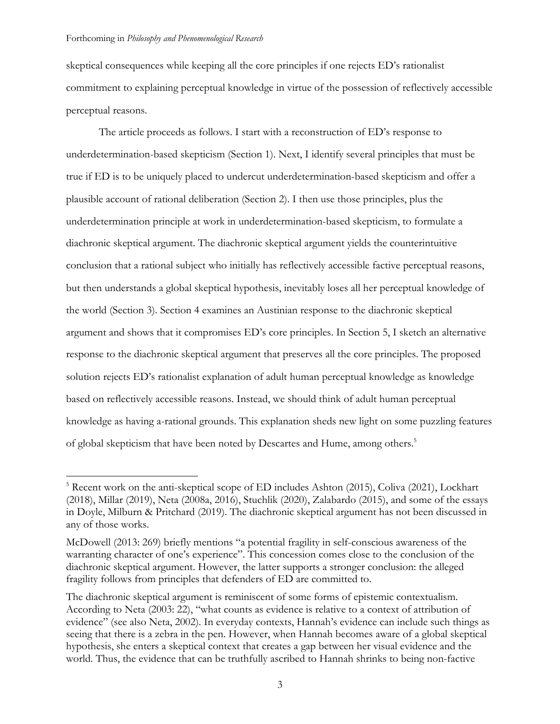skeptical consequences while keeping all the core principles if one rejects ED's rationalist commitment to explaining perceptual knowledge in virtue of the possession of reflectively accessible perceptual reasons.

The article proceeds as follows. I start with a reconstruction of ED's response to underdetermination-based skepticism (Section 1). Next, I identify several principles that must be true if ED is to be uniquely placed to undercut underdetermination-based skepticism and offer a plausible account of rational deliberation (Section 2). I then use those principles, plus the underdetermination principle at work in underdetermination-based skepticism, to formulate a diachronic skeptical argument. The diachronic skeptical argument yields the counterintuitive conclusion that a rational subject who initially has reflectively accessible factive perceptual reasons, but then understands a global skeptical hypothesis, inevitably loses all her perceptual knowledge of the world (Section 3). Section 4 examines an Austinian response to the diachronic skeptical argument and shows that it compromises ED's core principles. In Section 5, I sketch an alternative response to the diachronic skeptical argument that preserves all the core principles. The proposed solution rejects ED's rationalist explanation of adult human perceptual knowledge as knowledge based on reflectively accessible reasons. Instead, we should think of adult human perceptual knowledge as having a-rational grounds. This explanation sheds new light on some puzzling features of global skepticism that have been noted by Descartes and Hume, among others. 5

<sup>&</sup>lt;sup>5</sup> Recent work on the anti-skeptical scope of ED includes Ashton (2015), Coliva (2021), Lockhart (2018), Millar (2019), Neta (2008a, 2016), Stuchlik (2020), Zalabardo (2015), and some of the essays in Doyle, Milburn & Pritchard (2019). The diachronic skeptical argument has not been discussed in any of those works.

McDowell (2013: 269) briefly mentions "a potential fragility in self-conscious awareness of the warranting character of one's experience". This concession comes close to the conclusion of the diachronic skeptical argument. However, the latter supports a stronger conclusion: the alleged fragility follows from principles that defenders of ED are committed to.

The diachronic skeptical argument is reminiscent of some forms of epistemic contextualism. According to Neta (2003: 22), "what counts as evidence is relative to a context of attribution of evidence" (see also Neta, 2002). In everyday contexts, Hannah's evidence can include such things as seeing that there is a zebra in the pen. However, when Hannah becomes aware of a global skeptical hypothesis, she enters a skeptical context that creates a gap between her visual evidence and the world. Thus, the evidence that can be truthfully ascribed to Hannah shrinks to being non-factive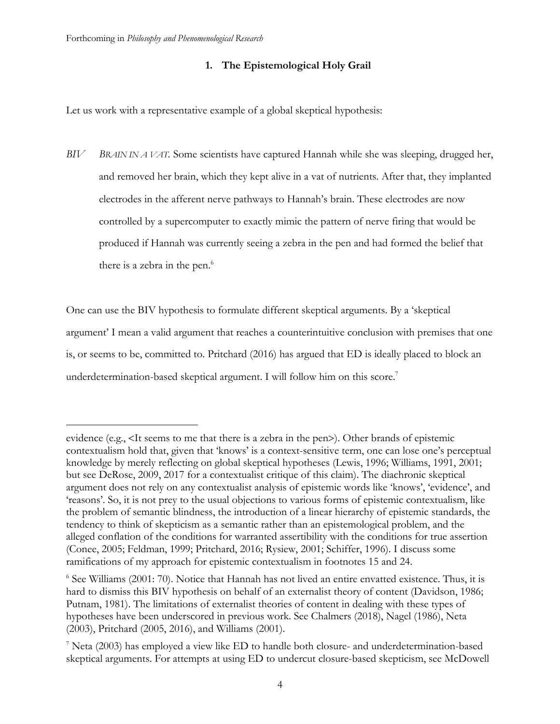# **1. The Epistemological Holy Grail**

Let us work with a representative example of a global skeptical hypothesis:

*BIV BRAIN IN A VAT.* Some scientists have captured Hannah while she was sleeping, drugged her, and removed her brain, which they kept alive in a vat of nutrients. After that, they implanted electrodes in the afferent nerve pathways to Hannah's brain. These electrodes are now controlled by a supercomputer to exactly mimic the pattern of nerve firing that would be produced if Hannah was currently seeing a zebra in the pen and had formed the belief that there is a zebra in the pen. 6

One can use the BIV hypothesis to formulate different skeptical arguments. By a 'skeptical argument' I mean a valid argument that reaches a counterintuitive conclusion with premises that one is, or seems to be, committed to. Pritchard (2016) has argued that ED is ideally placed to block an underdetermination-based skeptical argument. I will follow him on this score.<sup>7</sup>

evidence (e.g., <It seems to me that there is a zebra in the pen>). Other brands of epistemic contextualism hold that, given that 'knows' is a context-sensitive term, one can lose one's perceptual knowledge by merely reflecting on global skeptical hypotheses (Lewis, 1996; Williams, 1991, 2001; but see DeRose, 2009, 2017 for a contextualist critique of this claim). The diachronic skeptical argument does not rely on any contextualist analysis of epistemic words like 'knows', 'evidence', and 'reasons'. So, it is not prey to the usual objections to various forms of epistemic contextualism, like the problem of semantic blindness, the introduction of a linear hierarchy of epistemic standards, the tendency to think of skepticism as a semantic rather than an epistemological problem, and the alleged conflation of the conditions for warranted assertibility with the conditions for true assertion (Conee, 2005; Feldman, 1999; Pritchard, 2016; Rysiew, 2001; Schiffer, 1996). I discuss some ramifications of my approach for epistemic contextualism in footnotes 15 and 24.

<sup>6</sup> See Williams (2001: 70). Notice that Hannah has not lived an entire envatted existence. Thus, it is hard to dismiss this BIV hypothesis on behalf of an externalist theory of content (Davidson, 1986; Putnam, 1981). The limitations of externalist theories of content in dealing with these types of hypotheses have been underscored in previous work. See Chalmers (2018), Nagel (1986), Neta (2003), Pritchard (2005, 2016), and Williams (2001).

<sup>7</sup> Neta (2003) has employed a view like ED to handle both closure- and underdetermination-based skeptical arguments. For attempts at using ED to undercut closure-based skepticism, see McDowell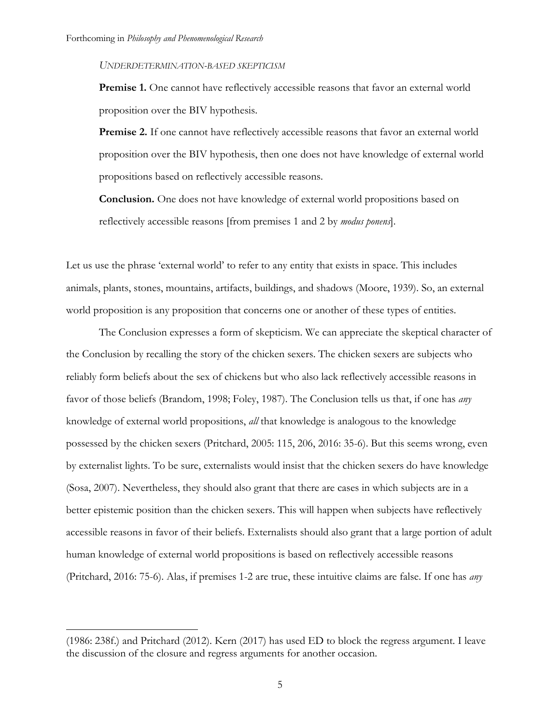#### *UNDERDETERMINATION-BASED SKEPTICISM*

**Premise 1.** One cannot have reflectively accessible reasons that favor an external world proposition over the BIV hypothesis.

**Premise 2.** If one cannot have reflectively accessible reasons that favor an external world proposition over the BIV hypothesis, then one does not have knowledge of external world propositions based on reflectively accessible reasons.

**Conclusion.** One does not have knowledge of external world propositions based on reflectively accessible reasons [from premises 1 and 2 by *modus ponens*].

Let us use the phrase 'external world' to refer to any entity that exists in space. This includes animals, plants, stones, mountains, artifacts, buildings, and shadows (Moore, 1939). So, an external world proposition is any proposition that concerns one or another of these types of entities.

The Conclusion expresses a form of skepticism. We can appreciate the skeptical character of the Conclusion by recalling the story of the chicken sexers. The chicken sexers are subjects who reliably form beliefs about the sex of chickens but who also lack reflectively accessible reasons in favor of those beliefs (Brandom, 1998; Foley, 1987). The Conclusion tells us that, if one has *any* knowledge of external world propositions, *all* that knowledge is analogous to the knowledge possessed by the chicken sexers (Pritchard, 2005: 115, 206, 2016: 35-6). But this seems wrong, even by externalist lights. To be sure, externalists would insist that the chicken sexers do have knowledge (Sosa, 2007). Nevertheless, they should also grant that there are cases in which subjects are in a better epistemic position than the chicken sexers. This will happen when subjects have reflectively accessible reasons in favor of their beliefs. Externalists should also grant that a large portion of adult human knowledge of external world propositions is based on reflectively accessible reasons (Pritchard, 2016: 75-6). Alas, if premises 1-2 are true, these intuitive claims are false. If one has *any*

<sup>(1986: 238</sup>f.) and Pritchard (2012). Kern (2017) has used ED to block the regress argument. I leave the discussion of the closure and regress arguments for another occasion.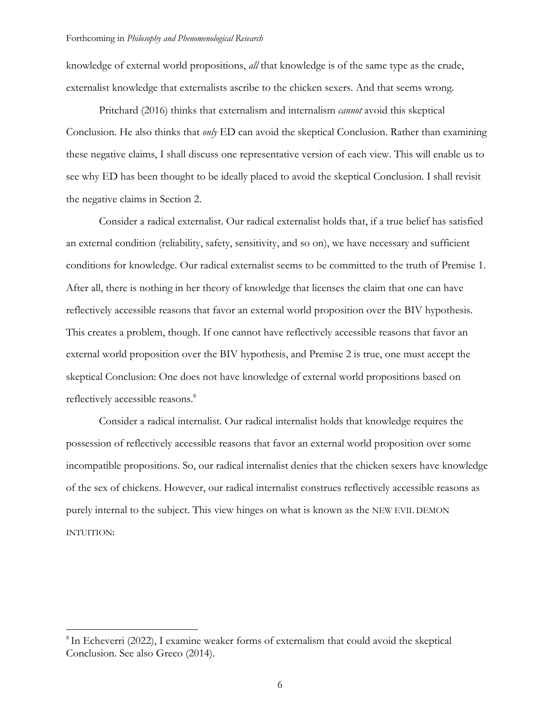knowledge of external world propositions, *all* that knowledge is of the same type as the crude, externalist knowledge that externalists ascribe to the chicken sexers. And that seems wrong.

Pritchard (2016) thinks that externalism and internalism *cannot* avoid this skeptical Conclusion. He also thinks that *only* ED can avoid the skeptical Conclusion. Rather than examining these negative claims, I shall discuss one representative version of each view. This will enable us to see why ED has been thought to be ideally placed to avoid the skeptical Conclusion. I shall revisit the negative claims in Section 2.

Consider a radical externalist. Our radical externalist holds that, if a true belief has satisfied an external condition (reliability, safety, sensitivity, and so on), we have necessary and sufficient conditions for knowledge. Our radical externalist seems to be committed to the truth of Premise 1. After all, there is nothing in her theory of knowledge that licenses the claim that one can have reflectively accessible reasons that favor an external world proposition over the BIV hypothesis. This creates a problem, though. If one cannot have reflectively accessible reasons that favor an external world proposition over the BIV hypothesis, and Premise 2 is true, one must accept the skeptical Conclusion: One does not have knowledge of external world propositions based on reflectively accessible reasons.<sup>8</sup>

Consider a radical internalist. Our radical internalist holds that knowledge requires the possession of reflectively accessible reasons that favor an external world proposition over some incompatible propositions. So, our radical internalist denies that the chicken sexers have knowledge of the sex of chickens. However, our radical internalist construes reflectively accessible reasons as purely internal to the subject. This view hinges on what is known as the NEW EVIL DEMON INTUITION:

<sup>&</sup>lt;sup>8</sup> In Echeverri (2022), I examine weaker forms of externalism that could avoid the skeptical Conclusion. See also Greco (2014).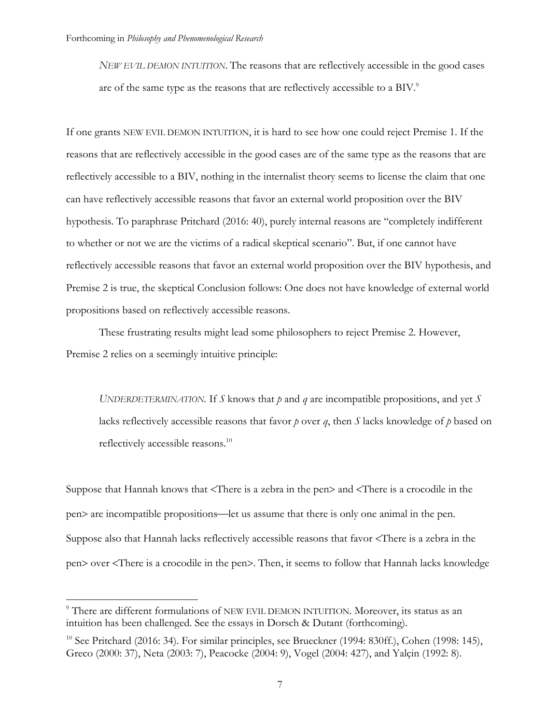*NEW EVIL DEMON INTUITION*. The reasons that are reflectively accessible in the good cases are of the same type as the reasons that are reflectively accessible to a BIV.<sup>9</sup>

If one grants NEW EVIL DEMON INTUITION, it is hard to see how one could reject Premise 1. If the reasons that are reflectively accessible in the good cases are of the same type as the reasons that are reflectively accessible to a BIV, nothing in the internalist theory seems to license the claim that one can have reflectively accessible reasons that favor an external world proposition over the BIV hypothesis. To paraphrase Pritchard (2016: 40), purely internal reasons are "completely indifferent to whether or not we are the victims of a radical skeptical scenario". But, if one cannot have reflectively accessible reasons that favor an external world proposition over the BIV hypothesis, and Premise 2 is true, the skeptical Conclusion follows: One does not have knowledge of external world propositions based on reflectively accessible reasons.

These frustrating results might lead some philosophers to reject Premise 2. However, Premise 2 relies on a seemingly intuitive principle:

*UNDERDETERMINATION.* If *S* knows that *p* and *q* are incompatible propositions, and yet *S* lacks reflectively accessible reasons that favor *p* over *q*, then *S* lacks knowledge of *p* based on reflectively accessible reasons.10

Suppose that Hannah knows that <There is a zebra in the pen> and <There is a crocodile in the pen> are incompatible propositions¾let us assume that there is only one animal in the pen. Suppose also that Hannah lacks reflectively accessible reasons that favor <There is a zebra in the pen> over <There is a crocodile in the pen>. Then, it seems to follow that Hannah lacks knowledge

<sup>9</sup> There are different formulations of NEW EVIL DEMON INTUITION. Moreover, its status as an intuition has been challenged. See the essays in Dorsch & Dutant (forthcoming).

 $10$  See Pritchard (2016: 34). For similar principles, see Brueckner (1994: 830ff.), Cohen (1998: 145), Greco (2000: 37), Neta (2003: 7), Peacocke (2004: 9), Vogel (2004: 427), and Yalçin (1992: 8).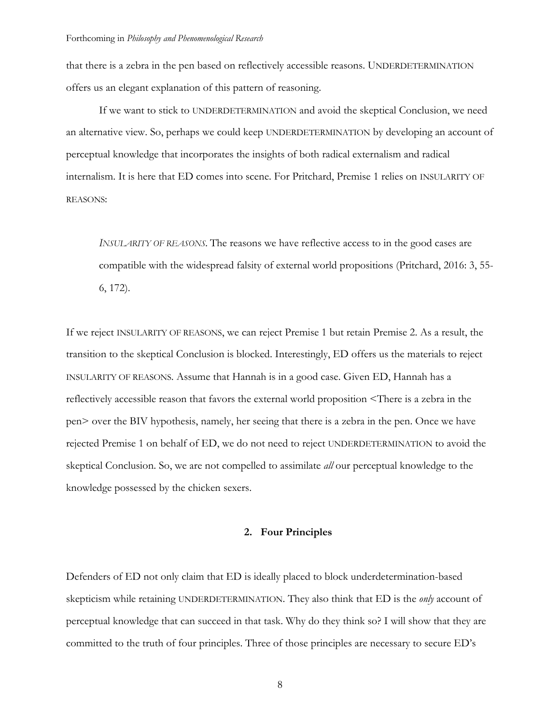that there is a zebra in the pen based on reflectively accessible reasons. UNDERDETERMINATION offers us an elegant explanation of this pattern of reasoning.

If we want to stick to UNDERDETERMINATION and avoid the skeptical Conclusion, we need an alternative view. So, perhaps we could keep UNDERDETERMINATION by developing an account of perceptual knowledge that incorporates the insights of both radical externalism and radical internalism. It is here that ED comes into scene. For Pritchard, Premise 1 relies on INSULARITY OF REASONS:

*INSULARITY OF REASONS.* The reasons we have reflective access to in the good cases are compatible with the widespread falsity of external world propositions (Pritchard, 2016: 3, 55- 6, 172).

If we reject INSULARITY OF REASONS, we can reject Premise 1 but retain Premise 2. As a result, the transition to the skeptical Conclusion is blocked. Interestingly, ED offers us the materials to reject INSULARITY OF REASONS. Assume that Hannah is in a good case. Given ED, Hannah has a reflectively accessible reason that favors the external world proposition <There is a zebra in the pen> over the BIV hypothesis, namely, her seeing that there is a zebra in the pen. Once we have rejected Premise 1 on behalf of ED, we do not need to reject UNDERDETERMINATION to avoid the skeptical Conclusion. So, we are not compelled to assimilate *all* our perceptual knowledge to the knowledge possessed by the chicken sexers.

## **2. Four Principles**

Defenders of ED not only claim that ED is ideally placed to block underdetermination-based skepticism while retaining UNDERDETERMINATION. They also think that ED is the *only* account of perceptual knowledge that can succeed in that task. Why do they think so? I will show that they are committed to the truth of four principles. Three of those principles are necessary to secure ED's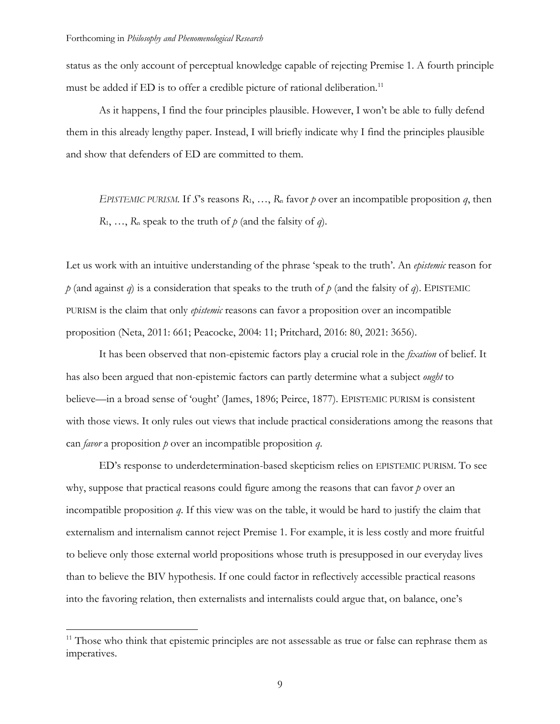status as the only account of perceptual knowledge capable of rejecting Premise 1. A fourth principle must be added if ED is to offer a credible picture of rational deliberation.<sup>11</sup>

As it happens, I find the four principles plausible. However, I won't be able to fully defend them in this already lengthy paper. Instead, I will briefly indicate why I find the principles plausible and show that defenders of ED are committed to them.

*EPISTEMIC PURISM.* If *S*'s reasons  $R_1, \ldots, R_n$  favor *p* over an incompatible proposition *q*, then  $R_1, \ldots, R_n$  speak to the truth of  $p$  (and the falsity of *q*).

Let us work with an intuitive understanding of the phrase 'speak to the truth'. An *epistemic* reason for  $p$  (and against *q*) is a consideration that speaks to the truth of  $p$  (and the falsity of *q*). EPISTEMIC PURISM is the claim that only *epistemic* reasons can favor a proposition over an incompatible proposition (Neta, 2011: 661; Peacocke, 2004: 11; Pritchard, 2016: 80, 2021: 3656).

It has been observed that non-epistemic factors play a crucial role in the *fixation* of belief. It has also been argued that non-epistemic factors can partly determine what a subject *ought* to believe—in a broad sense of 'ought' (James, 1896; Peirce, 1877). EPISTEMIC PURISM is consistent with those views. It only rules out views that include practical considerations among the reasons that can *favor* a proposition *p* over an incompatible proposition *q*.

ED's response to underdetermination-based skepticism relies on EPISTEMIC PURISM. To see why, suppose that practical reasons could figure among the reasons that can favor *p* over an incompatible proposition *q*. If this view was on the table, it would be hard to justify the claim that externalism and internalism cannot reject Premise 1. For example, it is less costly and more fruitful to believe only those external world propositions whose truth is presupposed in our everyday lives than to believe the BIV hypothesis. If one could factor in reflectively accessible practical reasons into the favoring relation, then externalists and internalists could argue that, on balance, one's

<sup>&</sup>lt;sup>11</sup> Those who think that epistemic principles are not assessable as true or false can rephrase them as imperatives.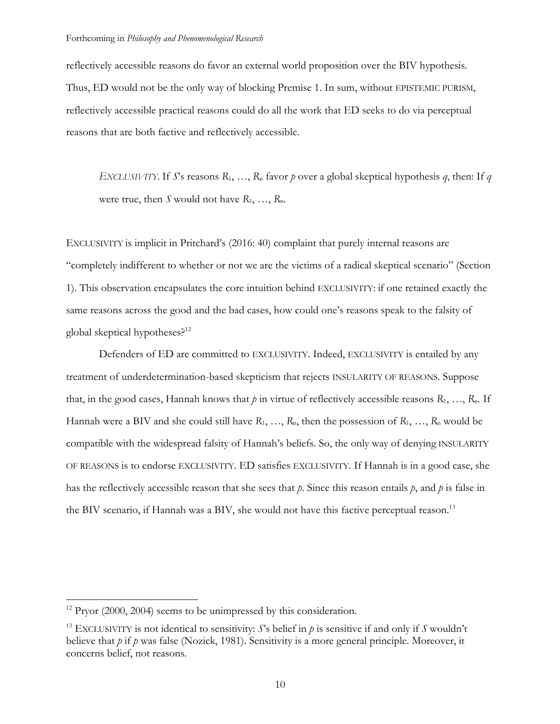reflectively accessible reasons do favor an external world proposition over the BIV hypothesis. Thus, ED would not be the only way of blocking Premise 1. In sum, without EPISTEMIC PURISM, reflectively accessible practical reasons could do all the work that ED seeks to do via perceptual reasons that are both factive and reflectively accessible.

*EXCLUSIVITY.* If *S*'s reasons  $R_1, \ldots, R_n$  favor *p* over a global skeptical hypothesis *q*, then: If *q* were true, then *S* would not have  $R_1, \ldots, R_n$ .

EXCLUSIVITY is implicit in Pritchard's (2016: 40) complaint that purely internal reasons are "completely indifferent to whether or not we are the victims of a radical skeptical scenario" (Section 1). This observation encapsulates the core intuition behind EXCLUSIVITY: if one retained exactly the same reasons across the good and the bad cases, how could one's reasons speak to the falsity of global skeptical hypotheses?<sup>12</sup>

Defenders of ED are committed to EXCLUSIVITY. Indeed, EXCLUSIVITY is entailed by any treatment of underdetermination-based skepticism that rejects INSULARITY OF REASONS. Suppose that, in the good cases, Hannah knows that  $p$  in virtue of reflectively accessible reasons  $R_1, \ldots, R_n$ . If Hannah were a BIV and she could still have *R*1, …, *R*n, then the possession of *R*1, …, *R*<sup>n</sup> would be compatible with the widespread falsity of Hannah's beliefs. So, the only way of denying INSULARITY OF REASONS is to endorse EXCLUSIVITY. ED satisfies EXCLUSIVITY. If Hannah is in a good case, she has the reflectively accessible reason that she sees that *p*. Since this reason entails *p*, and *p* is false in the BIV scenario, if Hannah was a BIV, she would not have this factive perceptual reason.<sup>13</sup>

 $12$  Pryor (2000, 2004) seems to be unimpressed by this consideration.

<sup>&</sup>lt;sup>13</sup> EXCLUSIVITY is not identical to sensitivity: *S*'s belief in  $p$  is sensitive if and only if *S* wouldn't believe that *p* if *p* was false (Nozick, 1981). Sensitivity is a more general principle. Moreover, it concerns belief, not reasons.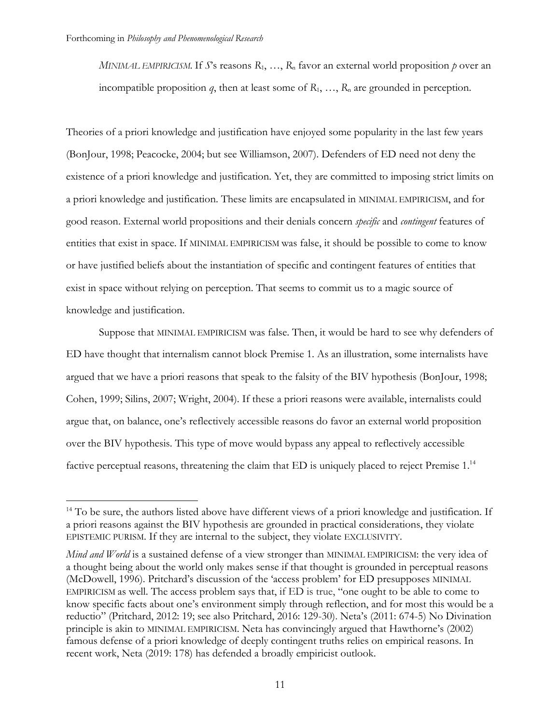*MINIMAL EMPIRICISM.* If  $S$ 's reasons  $R_1, ..., R_n$  favor an external world proposition  $p$  over an incompatible proposition  $q$ , then at least some of  $R_1, \ldots, R_n$  are grounded in perception.

Theories of a priori knowledge and justification have enjoyed some popularity in the last few years (BonJour, 1998; Peacocke, 2004; but see Williamson, 2007). Defenders of ED need not deny the existence of a priori knowledge and justification. Yet, they are committed to imposing strict limits on a priori knowledge and justification. These limits are encapsulated in MINIMAL EMPIRICISM, and for good reason. External world propositions and their denials concern *specific* and *contingent* features of entities that exist in space. If MINIMAL EMPIRICISM was false, it should be possible to come to know or have justified beliefs about the instantiation of specific and contingent features of entities that exist in space without relying on perception. That seems to commit us to a magic source of knowledge and justification.

Suppose that MINIMAL EMPIRICISM was false. Then, it would be hard to see why defenders of ED have thought that internalism cannot block Premise 1. As an illustration, some internalists have argued that we have a priori reasons that speak to the falsity of the BIV hypothesis (BonJour, 1998; Cohen, 1999; Silins, 2007; Wright, 2004). If these a priori reasons were available, internalists could argue that, on balance, one's reflectively accessible reasons do favor an external world proposition over the BIV hypothesis. This type of move would bypass any appeal to reflectively accessible factive perceptual reasons, threatening the claim that ED is uniquely placed to reject Premise 1.<sup>14</sup>

<sup>&</sup>lt;sup>14</sup> To be sure, the authors listed above have different views of a priori knowledge and justification. If a priori reasons against the BIV hypothesis are grounded in practical considerations, they violate EPISTEMIC PURISM. If they are internal to the subject, they violate EXCLUSIVITY.

*Mind and World* is a sustained defense of a view stronger than MINIMAL EMPIRICISM: the very idea of a thought being about the world only makes sense if that thought is grounded in perceptual reasons (McDowell, 1996). Pritchard's discussion of the 'access problem' for ED presupposes MINIMAL EMPIRICISM as well. The access problem says that, if ED is true, "one ought to be able to come to know specific facts about one's environment simply through reflection, and for most this would be a reductio" (Pritchard, 2012: 19; see also Pritchard, 2016: 129-30). Neta's (2011: 674-5) No Divination principle is akin to MINIMAL EMPIRICISM. Neta has convincingly argued that Hawthorne's (2002) famous defense of a priori knowledge of deeply contingent truths relies on empirical reasons. In recent work, Neta (2019: 178) has defended a broadly empiricist outlook.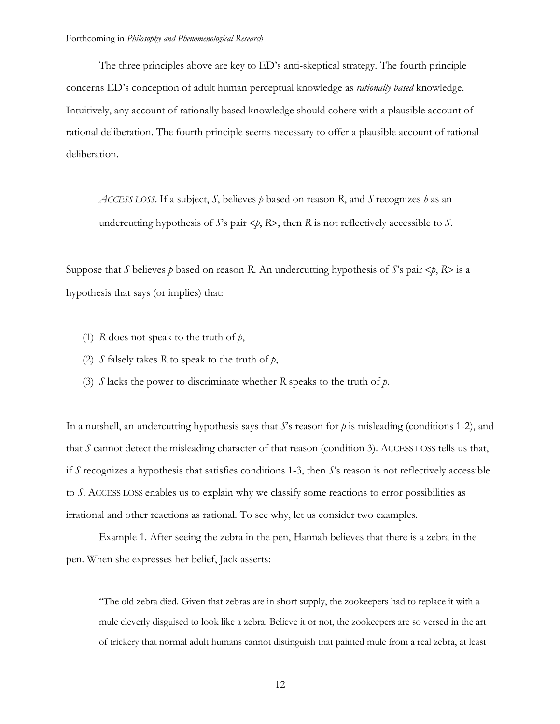The three principles above are key to ED's anti-skeptical strategy. The fourth principle concerns ED's conception of adult human perceptual knowledge as *rationally based* knowledge. Intuitively, any account of rationally based knowledge should cohere with a plausible account of rational deliberation. The fourth principle seems necessary to offer a plausible account of rational deliberation.

*ACCESS LOSS.* If a subject, *S*, believes *p* based on reason *R*, and *S* recognizes *h* as an undercutting hypothesis of  $S$ 's pair  $\langle p, R \rangle$ , then  $R$  is not reflectively accessible to  $S$ .

Suppose that *S* believes *p* based on reason *R*. An undercutting hypothesis of *S*'s pair  $\lt p$ , *R*> is a hypothesis that says (or implies) that:

- (1) *R* does not speak to the truth of *p*,
- (2) *S* falsely takes *R* to speak to the truth of *p*,
- (3) *S* lacks the power to discriminate whether *R* speaks to the truth of *p*.

In a nutshell, an undercutting hypothesis says that *S*'s reason for *p* is misleading (conditions 1-2), and that *S* cannot detect the misleading character of that reason (condition 3). ACCESS LOSS tells us that, if *S* recognizes a hypothesis that satisfies conditions 1-3, then *S*'s reason is not reflectively accessible to *S*. ACCESS LOSS enables us to explain why we classify some reactions to error possibilities as irrational and other reactions as rational. To see why, let us consider two examples.

Example 1. After seeing the zebra in the pen, Hannah believes that there is a zebra in the pen. When she expresses her belief, Jack asserts:

"The old zebra died. Given that zebras are in short supply, the zookeepers had to replace it with a mule cleverly disguised to look like a zebra. Believe it or not, the zookeepers are so versed in the art of trickery that normal adult humans cannot distinguish that painted mule from a real zebra, at least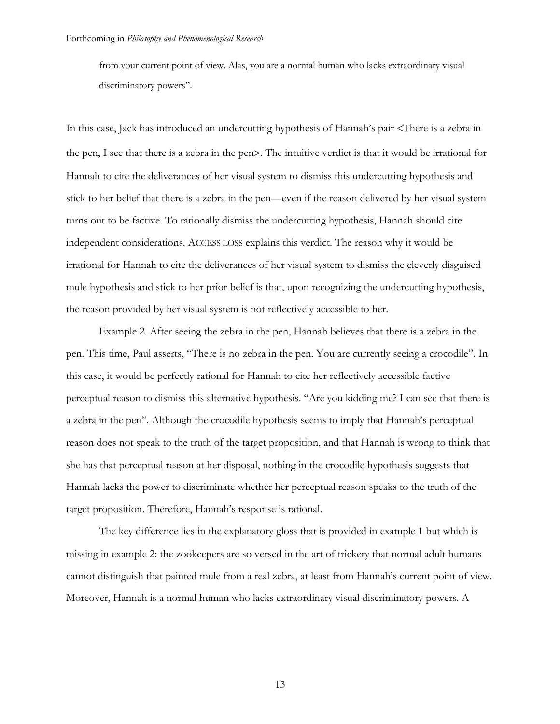from your current point of view. Alas, you are a normal human who lacks extraordinary visual discriminatory powers".

In this case, Jack has introduced an undercutting hypothesis of Hannah's pair <There is a zebra in the pen, I see that there is a zebra in the pen>. The intuitive verdict is that it would be irrational for Hannah to cite the deliverances of her visual system to dismiss this undercutting hypothesis and stick to her belief that there is a zebra in the pen—even if the reason delivered by her visual system turns out to be factive. To rationally dismiss the undercutting hypothesis, Hannah should cite independent considerations. ACCESS LOSS explains this verdict. The reason why it would be irrational for Hannah to cite the deliverances of her visual system to dismiss the cleverly disguised mule hypothesis and stick to her prior belief is that, upon recognizing the undercutting hypothesis, the reason provided by her visual system is not reflectively accessible to her.

Example 2. After seeing the zebra in the pen, Hannah believes that there is a zebra in the pen. This time, Paul asserts, "There is no zebra in the pen. You are currently seeing a crocodile". In this case, it would be perfectly rational for Hannah to cite her reflectively accessible factive perceptual reason to dismiss this alternative hypothesis. "Are you kidding me? I can see that there is a zebra in the pen". Although the crocodile hypothesis seems to imply that Hannah's perceptual reason does not speak to the truth of the target proposition, and that Hannah is wrong to think that she has that perceptual reason at her disposal, nothing in the crocodile hypothesis suggests that Hannah lacks the power to discriminate whether her perceptual reason speaks to the truth of the target proposition. Therefore, Hannah's response is rational.

The key difference lies in the explanatory gloss that is provided in example 1 but which is missing in example 2: the zookeepers are so versed in the art of trickery that normal adult humans cannot distinguish that painted mule from a real zebra, at least from Hannah's current point of view. Moreover, Hannah is a normal human who lacks extraordinary visual discriminatory powers. A

13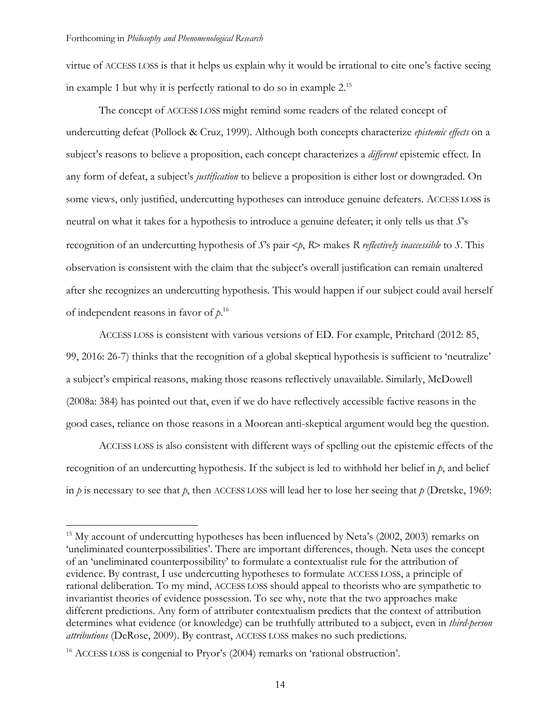virtue of ACCESS LOSS is that it helps us explain why it would be irrational to cite one's factive seeing in example 1 but why it is perfectly rational to do so in example  $2^{15}$ 

The concept of ACCESS LOSS might remind some readers of the related concept of undercutting defeat (Pollock & Cruz, 1999). Although both concepts characterize *epistemic effects* on a subject's reasons to believe a proposition, each concept characterizes a *different* epistemic effect. In any form of defeat, a subject's *justification* to believe a proposition is either lost or downgraded. On some views, only justified, undercutting hypotheses can introduce genuine defeaters. ACCESS LOSS is neutral on what it takes for a hypothesis to introduce a genuine defeater; it only tells us that *S*'s recognition of an undercutting hypothesis of *S*'s pair <*p*, *R*> makes *R reflectively inaccessible* to *S*. This observation is consistent with the claim that the subject's overall justification can remain unaltered after she recognizes an undercutting hypothesis. This would happen if our subject could avail herself of independent reasons in favor of *p*. 16

ACCESS LOSS is consistent with various versions of ED. For example, Pritchard (2012: 85, 99, 2016: 26-7) thinks that the recognition of a global skeptical hypothesis is sufficient to 'neutralize' a subject's empirical reasons, making those reasons reflectively unavailable. Similarly, McDowell (2008a: 384) has pointed out that, even if we do have reflectively accessible factive reasons in the good cases, reliance on those reasons in a Moorean anti-skeptical argument would beg the question.

ACCESS LOSS is also consistent with different ways of spelling out the epistemic effects of the recognition of an undercutting hypothesis. If the subject is led to withhold her belief in *p*, and belief in *p* is necessary to see that *p*, then ACCESS LOSS will lead her to lose her seeing that *p* (Dretske, 1969:

<sup>&</sup>lt;sup>15</sup> My account of undercutting hypotheses has been influenced by Neta's (2002, 2003) remarks on 'uneliminated counterpossibilities'. There are important differences, though. Neta uses the concept of an 'uneliminated counterpossibility' to formulate a contextualist rule for the attribution of evidence. By contrast, I use undercutting hypotheses to formulate ACCESS LOSS, a principle of rational deliberation. To my mind, ACCESS LOSS should appeal to theorists who are sympathetic to invariantist theories of evidence possession. To see why, note that the two approaches make different predictions. Any form of attributer contextualism predicts that the context of attribution determines what evidence (or knowledge) can be truthfully attributed to a subject, even in *third-person attributions* (DeRose, 2009). By contrast, ACCESS LOSS makes no such predictions.

<sup>&</sup>lt;sup>16</sup> ACCESS LOSS is congenial to Pryor's (2004) remarks on 'rational obstruction'.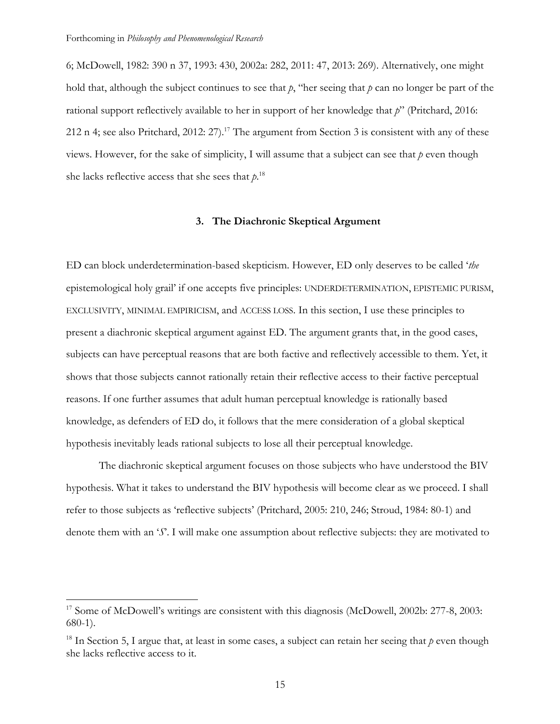6; McDowell, 1982: 390 n 37, 1993: 430, 2002a: 282, 2011: 47, 2013: 269). Alternatively, one might hold that, although the subject continues to see that *p*, "her seeing that *p* can no longer be part of the rational support reflectively available to her in support of her knowledge that *p*" (Pritchard, 2016: 212 n 4; see also Pritchard, 2012:  $27$ ).<sup>17</sup> The argument from Section 3 is consistent with any of these views. However, for the sake of simplicity, I will assume that a subject can see that *p* even though she lacks reflective access that she sees that  $p^{18}$ 

# **3. The Diachronic Skeptical Argument**

ED can block underdetermination-based skepticism. However, ED only deserves to be called '*the*  epistemological holy grail' if one accepts five principles: UNDERDETERMINATION, EPISTEMIC PURISM, EXCLUSIVITY, MINIMAL EMPIRICISM, and ACCESS LOSS. In this section, I use these principles to present a diachronic skeptical argument against ED. The argument grants that, in the good cases, subjects can have perceptual reasons that are both factive and reflectively accessible to them. Yet, it shows that those subjects cannot rationally retain their reflective access to their factive perceptual reasons. If one further assumes that adult human perceptual knowledge is rationally based knowledge, as defenders of ED do, it follows that the mere consideration of a global skeptical hypothesis inevitably leads rational subjects to lose all their perceptual knowledge.

The diachronic skeptical argument focuses on those subjects who have understood the BIV hypothesis. What it takes to understand the BIV hypothesis will become clear as we proceed. I shall refer to those subjects as 'reflective subjects' (Pritchard, 2005: 210, 246; Stroud, 1984: 80-1) and denote them with an '*S*'. I will make one assumption about reflective subjects: they are motivated to

<sup>&</sup>lt;sup>17</sup> Some of McDowell's writings are consistent with this diagnosis (McDowell, 2002b: 277-8, 2003: 680-1).

<sup>&</sup>lt;sup>18</sup> In Section 5, I argue that, at least in some cases, a subject can retain her seeing that  $p$  even though she lacks reflective access to it.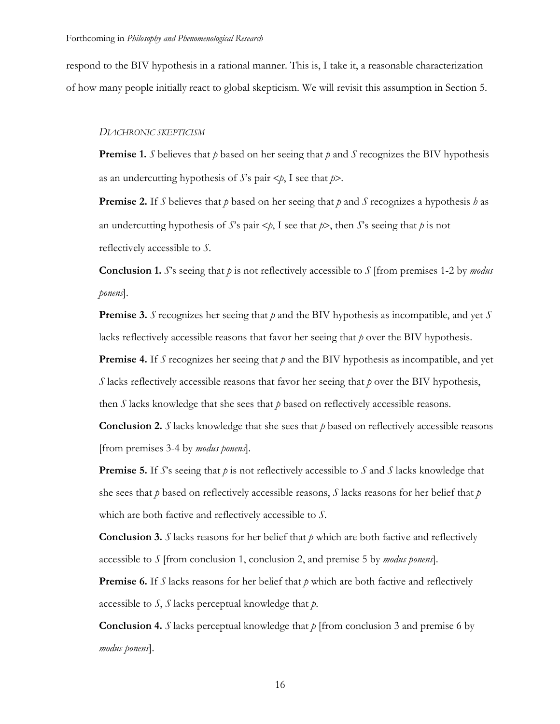respond to the BIV hypothesis in a rational manner. This is, I take it, a reasonable characterization of how many people initially react to global skepticism. We will revisit this assumption in Section 5.

## *DIACHRONIC SKEPTICISM*

**Premise 1.** *S* believes that *p* based on her seeing that *p* and *S* recognizes the BIV hypothesis as an undercutting hypothesis of *S*'s pair <*p*, I see that *p*>.

**Premise 2.** If *S* believes that *p* based on her seeing that *p* and *S* recognizes a hypothesis *h* as an undercutting hypothesis of *S*'s pair  $\lt p$ , I see that  $p$ , then *S*'s seeing that  $p$  is not reflectively accessible to *S*.

**Conclusion 1.** *S*'s seeing that *p* is not reflectively accessible to *S* [from premises 1-2 by *modus ponens*].

**Premise 3.** *S* recognizes her seeing that *p* and the BIV hypothesis as incompatible, and yet *S* lacks reflectively accessible reasons that favor her seeing that *p* over the BIV hypothesis.

**Premise 4.** If *S* recognizes her seeing that *p* and the BIV hypothesis as incompatible, and yet *S* lacks reflectively accessible reasons that favor her seeing that *p* over the BIV hypothesis, then *S* lacks knowledge that she sees that *p* based on reflectively accessible reasons.

**Conclusion 2.**  $S$  lacks knowledge that she sees that  $p$  based on reflectively accessible reasons [from premises 3-4 by *modus ponens*].

**Premise 5.** If *S*'s seeing that *p* is not reflectively accessible to *S* and *S* lacks knowledge that she sees that *p* based on reflectively accessible reasons, *S* lacks reasons for her belief that *p* which are both factive and reflectively accessible to *S*.

**Conclusion 3.** *S* lacks reasons for her belief that  $p$  which are both factive and reflectively accessible to *S* [from conclusion 1, conclusion 2, and premise 5 by *modus ponens*].

**Premise 6.** If *S* lacks reasons for her belief that  $p$  which are both factive and reflectively accessible to *S*, *S* lacks perceptual knowledge that *p*.

**Conclusion 4.** *S* lacks perceptual knowledge that  $p$  [from conclusion 3 and premise 6 by *modus ponens*].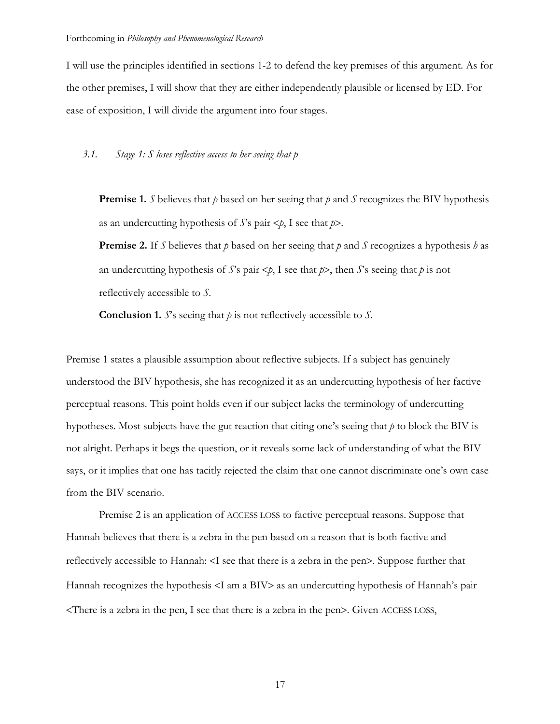I will use the principles identified in sections 1-2 to defend the key premises of this argument. As for the other premises, I will show that they are either independently plausible or licensed by ED. For ease of exposition, I will divide the argument into four stages.

## *3.1. Stage 1: S loses reflective access to her seeing that p*

**Premise 1.** *S* believes that *p* based on her seeing that *p* and *S* recognizes the BIV hypothesis as an undercutting hypothesis of *S*'s pair <*p*, I see that *p*>.

**Premise 2.** If *S* believes that *p* based on her seeing that *p* and *S* recognizes a hypothesis *h* as an undercutting hypothesis of *S*'s pair  $\lt p$ , I see that  $p$ >, then *S*'s seeing that *p* is not reflectively accessible to *S*.

**Conclusion 1.** *S*'s seeing that *p* is not reflectively accessible to *S*.

Premise 1 states a plausible assumption about reflective subjects. If a subject has genuinely understood the BIV hypothesis, she has recognized it as an undercutting hypothesis of her factive perceptual reasons. This point holds even if our subject lacks the terminology of undercutting hypotheses. Most subjects have the gut reaction that citing one's seeing that *p* to block the BIV is not alright. Perhaps it begs the question, or it reveals some lack of understanding of what the BIV says, or it implies that one has tacitly rejected the claim that one cannot discriminate one's own case from the BIV scenario.

Premise 2 is an application of ACCESS LOSS to factive perceptual reasons. Suppose that Hannah believes that there is a zebra in the pen based on a reason that is both factive and reflectively accessible to Hannah: <I see that there is a zebra in the pen>. Suppose further that Hannah recognizes the hypothesis <I am a BIV> as an undercutting hypothesis of Hannah's pair <There is a zebra in the pen, I see that there is a zebra in the pen>. Given ACCESS LOSS,

17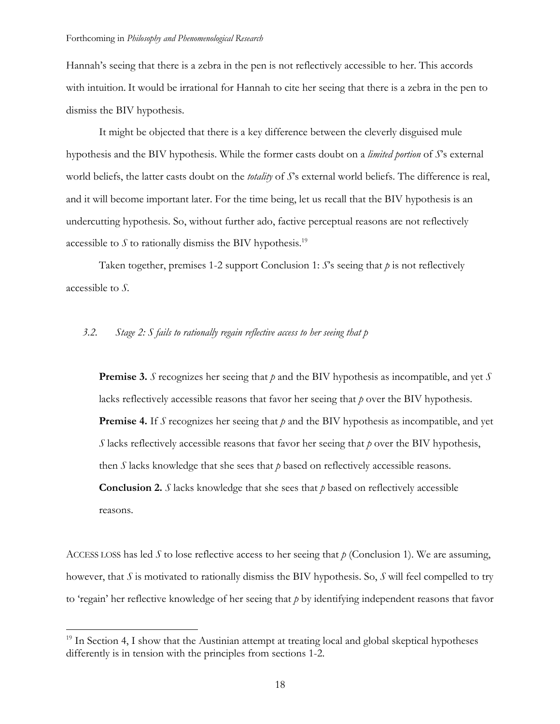Hannah's seeing that there is a zebra in the pen is not reflectively accessible to her. This accords with intuition. It would be irrational for Hannah to cite her seeing that there is a zebra in the pen to dismiss the BIV hypothesis.

It might be objected that there is a key difference between the cleverly disguised mule hypothesis and the BIV hypothesis. While the former casts doubt on a *limited portion* of *S*'s external world beliefs, the latter casts doubt on the *totality* of *S*'s external world beliefs. The difference is real, and it will become important later. For the time being, let us recall that the BIV hypothesis is an undercutting hypothesis. So, without further ado, factive perceptual reasons are not reflectively accessible to  $S$  to rationally dismiss the BIV hypothesis.<sup>19</sup>

Taken together, premises 1-2 support Conclusion 1: *S*'s seeing that *p* is not reflectively accessible to *S.*

# *3.2. Stage 2: S fails to rationally regain reflective access to her seeing that p*

**Premise 3.** *S* recognizes her seeing that *p* and the BIV hypothesis as incompatible, and yet *S* lacks reflectively accessible reasons that favor her seeing that *p* over the BIV hypothesis. **Premise 4.** If *S* recognizes her seeing that *p* and the BIV hypothesis as incompatible, and yet *S* lacks reflectively accessible reasons that favor her seeing that *p* over the BIV hypothesis, then *S* lacks knowledge that she sees that *p* based on reflectively accessible reasons. **Conclusion 2.** *S* lacks knowledge that she sees that *p* based on reflectively accessible reasons.

ACCESS LOSS has led *S* to lose reflective access to her seeing that *p* (Conclusion 1). We are assuming, however, that *S* is motivated to rationally dismiss the BIV hypothesis. So, *S* will feel compelled to try to 'regain' her reflective knowledge of her seeing that *p* by identifying independent reasons that favor

<sup>&</sup>lt;sup>19</sup> In Section 4, I show that the Austinian attempt at treating local and global skeptical hypotheses differently is in tension with the principles from sections 1-2.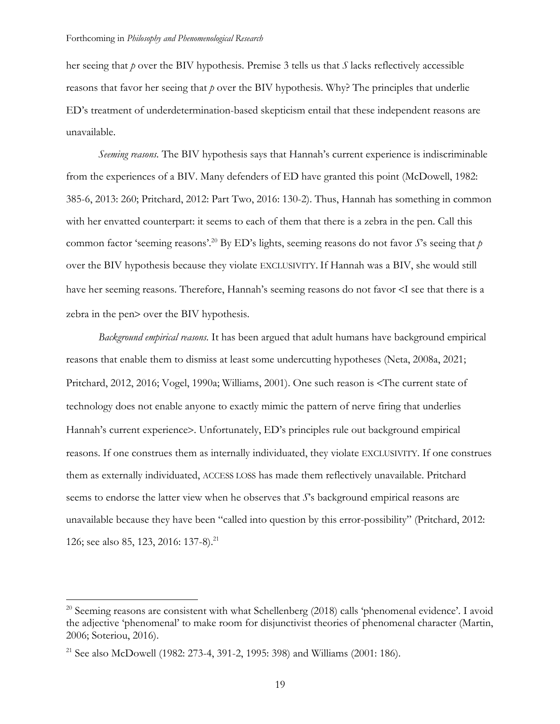her seeing that *p* over the BIV hypothesis. Premise 3 tells us that *S* lacks reflectively accessible reasons that favor her seeing that *p* over the BIV hypothesis. Why? The principles that underlie ED's treatment of underdetermination-based skepticism entail that these independent reasons are unavailable.

*Seeming reasons.* The BIV hypothesis says that Hannah's current experience is indiscriminable from the experiences of a BIV. Many defenders of ED have granted this point (McDowell, 1982: 385-6, 2013: 260; Pritchard, 2012: Part Two, 2016: 130-2). Thus, Hannah has something in common with her envatted counterpart: it seems to each of them that there is a zebra in the pen. Call this common factor 'seeming reasons'. <sup>20</sup> By ED's lights, seeming reasons do not favor *S*'s seeing that *p* over the BIV hypothesis because they violate EXCLUSIVITY. If Hannah was a BIV, she would still have her seeming reasons. Therefore, Hannah's seeming reasons do not favor <I see that there is a zebra in the pen> over the BIV hypothesis.

*Background empirical reasons.* It has been argued that adult humans have background empirical reasons that enable them to dismiss at least some undercutting hypotheses (Neta, 2008a, 2021; Pritchard, 2012, 2016; Vogel, 1990a; Williams, 2001). One such reason is <The current state of technology does not enable anyone to exactly mimic the pattern of nerve firing that underlies Hannah's current experience>. Unfortunately, ED's principles rule out background empirical reasons. If one construes them as internally individuated, they violate EXCLUSIVITY. If one construes them as externally individuated, ACCESS LOSS has made them reflectively unavailable. Pritchard seems to endorse the latter view when he observes that *S*'s background empirical reasons are unavailable because they have been "called into question by this error-possibility" (Pritchard, 2012: 126; see also 85, 123, 2016: 137-8).<sup>21</sup>

<sup>&</sup>lt;sup>20</sup> Seeming reasons are consistent with what Schellenberg (2018) calls 'phenomenal evidence'. I avoid the adjective 'phenomenal' to make room for disjunctivist theories of phenomenal character (Martin, 2006; Soteriou, 2016).

<sup>&</sup>lt;sup>21</sup> See also McDowell (1982: 273-4, 391-2, 1995: 398) and Williams (2001: 186).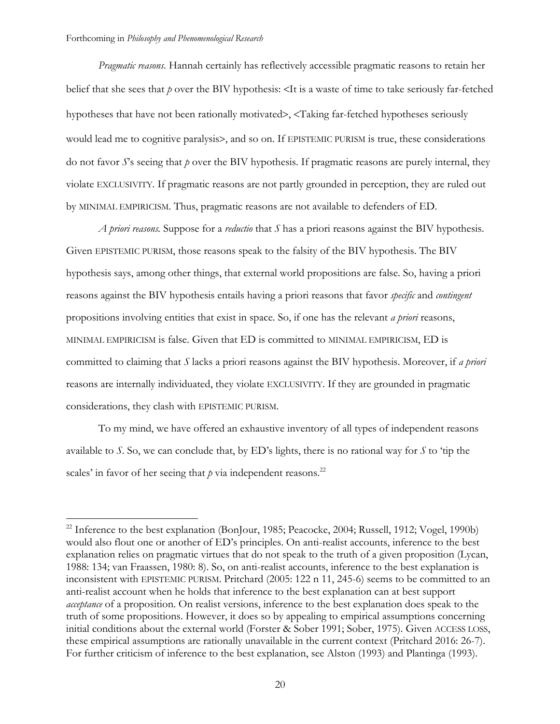*Pragmatic reasons.* Hannah certainly has reflectively accessible pragmatic reasons to retain her belief that she sees that *p* over the BIV hypothesis: <It is a waste of time to take seriously far-fetched hypotheses that have not been rationally motivated>, <Taking far-fetched hypotheses seriously would lead me to cognitive paralysis>, and so on. If EPISTEMIC PURISM is true, these considerations do not favor *S*'s seeing that *p* over the BIV hypothesis. If pragmatic reasons are purely internal, they violate EXCLUSIVITY. If pragmatic reasons are not partly grounded in perception, they are ruled out by MINIMAL EMPIRICISM. Thus, pragmatic reasons are not available to defenders of ED.

*A priori reasons.* Suppose for a *reductio* that *S* has a priori reasons against the BIV hypothesis. Given EPISTEMIC PURISM, those reasons speak to the falsity of the BIV hypothesis. The BIV hypothesis says, among other things, that external world propositions are false. So, having a priori reasons against the BIV hypothesis entails having a priori reasons that favor *specific* and *contingent* propositions involving entities that exist in space. So, if one has the relevant *a priori* reasons, MINIMAL EMPIRICISM is false. Given that ED is committed to MINIMAL EMPIRICISM, ED is committed to claiming that *S* lacks a priori reasons against the BIV hypothesis. Moreover, if *a priori* reasons are internally individuated, they violate EXCLUSIVITY. If they are grounded in pragmatic considerations, they clash with EPISTEMIC PURISM.

To my mind, we have offered an exhaustive inventory of all types of independent reasons available to *S*. So, we can conclude that, by ED's lights, there is no rational way for *S* to 'tip the scales' in favor of her seeing that  $p$  via independent reasons.<sup>22</sup>

<sup>&</sup>lt;sup>22</sup> Inference to the best explanation (BonJour, 1985; Peacocke, 2004; Russell, 1912; Vogel, 1990b) would also flout one or another of ED's principles. On anti-realist accounts, inference to the best explanation relies on pragmatic virtues that do not speak to the truth of a given proposition (Lycan, 1988: 134; van Fraassen, 1980: 8). So, on anti-realist accounts, inference to the best explanation is inconsistent with EPISTEMIC PURISM. Pritchard (2005: 122 n 11, 245-6) seems to be committed to an anti-realist account when he holds that inference to the best explanation can at best support *acceptance* of a proposition. On realist versions, inference to the best explanation does speak to the truth of some propositions. However, it does so by appealing to empirical assumptions concerning initial conditions about the external world (Forster & Sober 1991; Sober, 1975). Given ACCESS LOSS, these empirical assumptions are rationally unavailable in the current context (Pritchard 2016: 26-7). For further criticism of inference to the best explanation, see Alston (1993) and Plantinga (1993).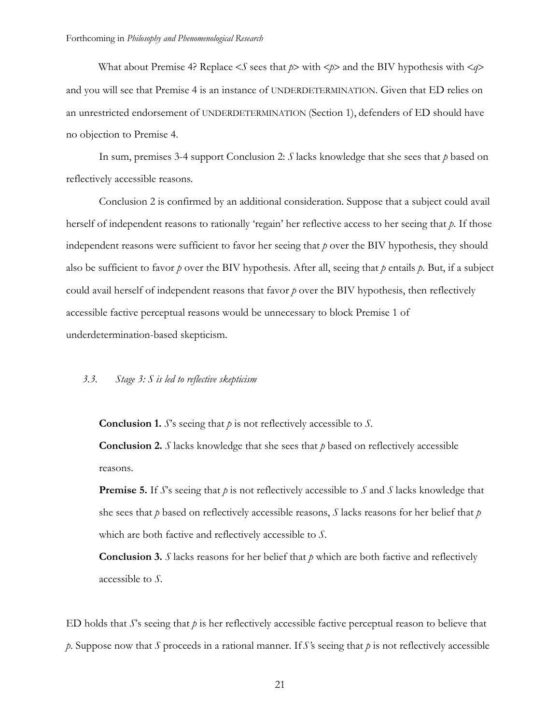What about Premise 4? Replace  $\leq S$  sees that  $p$  with  $\leq p$  and the BIV hypothesis with  $\leq q$ and you will see that Premise 4 is an instance of UNDERDETERMINATION. Given that ED relies on an unrestricted endorsement of UNDERDETERMINATION (Section 1), defenders of ED should have no objection to Premise 4.

In sum, premises 3-4 support Conclusion 2: *S* lacks knowledge that she sees that *p* based on reflectively accessible reasons*.*

Conclusion 2 is confirmed by an additional consideration. Suppose that a subject could avail herself of independent reasons to rationally 'regain' her reflective access to her seeing that *p*. If those independent reasons were sufficient to favor her seeing that *p* over the BIV hypothesis, they should also be sufficient to favor  $p$  over the BIV hypothesis. After all, seeing that  $p$  entails  $p$ . But, if a subject could avail herself of independent reasons that favor *p* over the BIV hypothesis, then reflectively accessible factive perceptual reasons would be unnecessary to block Premise 1 of underdetermination-based skepticism.

## *3.3. Stage 3: S is led to reflective skepticism*

**Conclusion 1.** *S*'s seeing that *p* is not reflectively accessible to *S*.

**Conclusion 2.** *S* lacks knowledge that she sees that *p* based on reflectively accessible reasons.

**Premise 5.** If *S*'s seeing that *p* is not reflectively accessible to *S* and *S* lacks knowledge that she sees that *p* based on reflectively accessible reasons, *S* lacks reasons for her belief that *p* which are both factive and reflectively accessible to *S*.

**Conclusion 3.** *S* lacks reasons for her belief that  $p$  which are both factive and reflectively accessible to *S*.

ED holds that *S*'s seeing that *p* is her reflectively accessible factive perceptual reason to believe that *p*. Suppose now that *S* proceeds in a rational manner. If *S*'s seeing that *p* is not reflectively accessible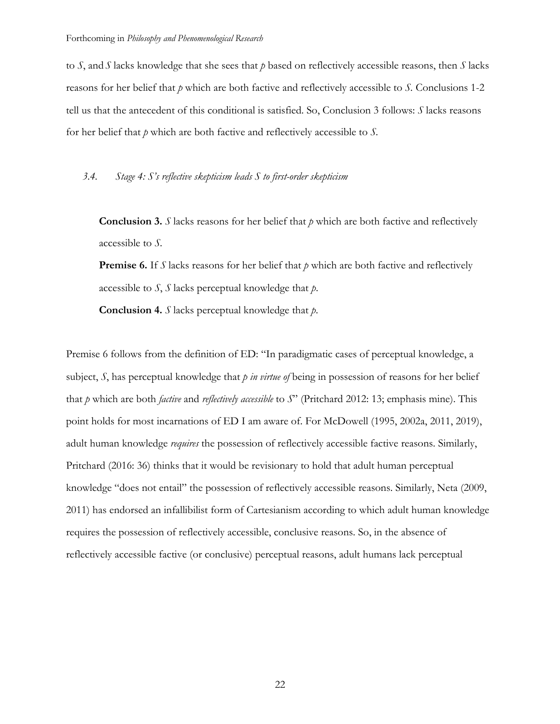to *S*, and *S* lacks knowledge that she sees that *p* based on reflectively accessible reasons, then *S* lacks reasons for her belief that *p* which are both factive and reflectively accessible to *S.* Conclusions 1-2 tell us that the antecedent of this conditional is satisfied. So, Conclusion 3 follows: *S* lacks reasons for her belief that *p* which are both factive and reflectively accessible to *S.*

## *3.4. Stage 4: S's reflective skepticism leads S to first-order skepticism*

**Conclusion 3.** *S* lacks reasons for her belief that *p* which are both factive and reflectively accessible to *S.*

**Premise 6.** If *S* lacks reasons for her belief that  $p$  which are both factive and reflectively accessible to *S*, *S* lacks perceptual knowledge that *p*.

**Conclusion 4.** *S* lacks perceptual knowledge that *p*.

Premise 6 follows from the definition of ED: "In paradigmatic cases of perceptual knowledge, a subject, *S*, has perceptual knowledge that *p in virtue of* being in possession of reasons for her belief that *p* which are both *factive* and *reflectively accessible* to *S*" (Pritchard 2012: 13; emphasis mine). This point holds for most incarnations of ED I am aware of. For McDowell (1995, 2002a, 2011, 2019), adult human knowledge *requires* the possession of reflectively accessible factive reasons. Similarly, Pritchard (2016: 36) thinks that it would be revisionary to hold that adult human perceptual knowledge "does not entail" the possession of reflectively accessible reasons. Similarly, Neta (2009, 2011) has endorsed an infallibilist form of Cartesianism according to which adult human knowledge requires the possession of reflectively accessible, conclusive reasons. So, in the absence of reflectively accessible factive (or conclusive) perceptual reasons, adult humans lack perceptual

22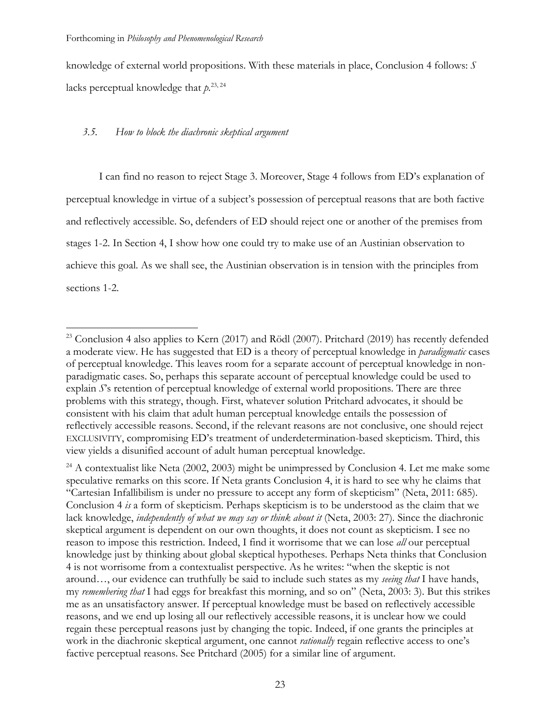knowledge of external world propositions. With these materials in place, Conclusion 4 follows: *S* lacks perceptual knowledge that  $p^{23,24}$ 

## *3.5. How to block the diachronic skeptical argument*

I can find no reason to reject Stage 3. Moreover, Stage 4 follows from ED's explanation of perceptual knowledge in virtue of a subject's possession of perceptual reasons that are both factive and reflectively accessible. So, defenders of ED should reject one or another of the premises from stages 1-2. In Section 4, I show how one could try to make use of an Austinian observation to achieve this goal. As we shall see, the Austinian observation is in tension with the principles from sections 1-2.

<sup>&</sup>lt;sup>23</sup> Conclusion 4 also applies to Kern (2017) and Rödl (2007). Pritchard (2019) has recently defended a moderate view. He has suggested that ED is a theory of perceptual knowledge in *paradigmatic* cases of perceptual knowledge. This leaves room for a separate account of perceptual knowledge in nonparadigmatic cases. So, perhaps this separate account of perceptual knowledge could be used to explain *S*'s retention of perceptual knowledge of external world propositions. There are three problems with this strategy, though. First, whatever solution Pritchard advocates, it should be consistent with his claim that adult human perceptual knowledge entails the possession of reflectively accessible reasons. Second, if the relevant reasons are not conclusive, one should reject EXCLUSIVITY, compromising ED's treatment of underdetermination-based skepticism. Third, this view yields a disunified account of adult human perceptual knowledge.

<sup>&</sup>lt;sup>24</sup> A contextualist like Neta (2002, 2003) might be unimpressed by Conclusion 4. Let me make some speculative remarks on this score. If Neta grants Conclusion 4, it is hard to see why he claims that "Cartesian Infallibilism is under no pressure to accept any form of skepticism" (Neta, 2011: 685). Conclusion 4 *is* a form of skepticism. Perhaps skepticism is to be understood as the claim that we lack knowledge, *independently of what we may say or think about it* (Neta, 2003: 27)*.* Since the diachronic skeptical argument is dependent on our own thoughts, it does not count as skepticism. I see no reason to impose this restriction. Indeed, I find it worrisome that we can lose *all* our perceptual knowledge just by thinking about global skeptical hypotheses. Perhaps Neta thinks that Conclusion 4 is not worrisome from a contextualist perspective. As he writes: "when the skeptic is not around…, our evidence can truthfully be said to include such states as my *seeing that* I have hands, my *remembering that* I had eggs for breakfast this morning, and so on" (Neta, 2003: 3). But this strikes me as an unsatisfactory answer. If perceptual knowledge must be based on reflectively accessible reasons, and we end up losing all our reflectively accessible reasons, it is unclear how we could regain these perceptual reasons just by changing the topic. Indeed, if one grants the principles at work in the diachronic skeptical argument, one cannot *rationally* regain reflective access to one's factive perceptual reasons. See Pritchard (2005) for a similar line of argument.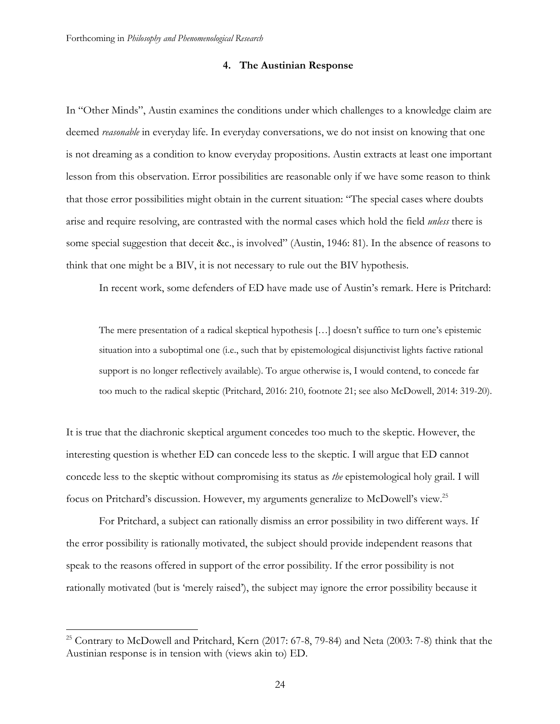## **4. The Austinian Response**

In "Other Minds", Austin examines the conditions under which challenges to a knowledge claim are deemed *reasonable* in everyday life. In everyday conversations, we do not insist on knowing that one is not dreaming as a condition to know everyday propositions. Austin extracts at least one important lesson from this observation. Error possibilities are reasonable only if we have some reason to think that those error possibilities might obtain in the current situation: "The special cases where doubts arise and require resolving, are contrasted with the normal cases which hold the field *unless* there is some special suggestion that deceit &c., is involved" (Austin, 1946: 81). In the absence of reasons to think that one might be a BIV, it is not necessary to rule out the BIV hypothesis.

In recent work, some defenders of ED have made use of Austin's remark. Here is Pritchard:

The mere presentation of a radical skeptical hypothesis […] doesn't suffice to turn one's epistemic situation into a suboptimal one (i.e., such that by epistemological disjunctivist lights factive rational support is no longer reflectively available). To argue otherwise is, I would contend, to concede far too much to the radical skeptic (Pritchard, 2016: 210, footnote 21; see also McDowell, 2014: 319-20).

It is true that the diachronic skeptical argument concedes too much to the skeptic. However, the interesting question is whether ED can concede less to the skeptic. I will argue that ED cannot concede less to the skeptic without compromising its status as *the* epistemological holy grail. I will focus on Pritchard's discussion. However, my arguments generalize to McDowell's view.25

For Pritchard, a subject can rationally dismiss an error possibility in two different ways. If the error possibility is rationally motivated, the subject should provide independent reasons that speak to the reasons offered in support of the error possibility. If the error possibility is not rationally motivated (but is 'merely raised'), the subject may ignore the error possibility because it

<sup>&</sup>lt;sup>25</sup> Contrary to McDowell and Pritchard, Kern (2017: 67-8, 79-84) and Neta (2003: 7-8) think that the Austinian response is in tension with (views akin to) ED.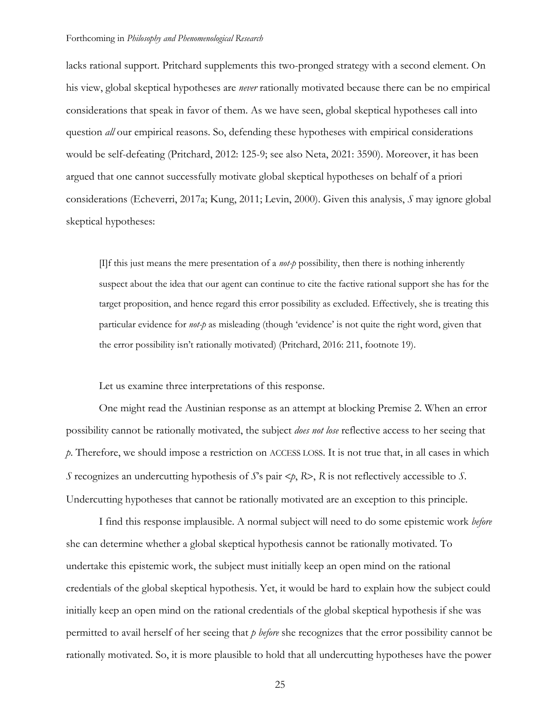lacks rational support. Pritchard supplements this two-pronged strategy with a second element. On his view, global skeptical hypotheses are *never* rationally motivated because there can be no empirical considerations that speak in favor of them. As we have seen, global skeptical hypotheses call into question *all* our empirical reasons. So, defending these hypotheses with empirical considerations would be self-defeating (Pritchard, 2012: 125-9; see also Neta, 2021: 3590). Moreover, it has been argued that one cannot successfully motivate global skeptical hypotheses on behalf of a priori considerations (Echeverri, 2017a; Kung, 2011; Levin, 2000). Given this analysis, *S* may ignore global skeptical hypotheses:

[I]f this just means the mere presentation of a *not-p* possibility, then there is nothing inherently suspect about the idea that our agent can continue to cite the factive rational support she has for the target proposition, and hence regard this error possibility as excluded. Effectively, she is treating this particular evidence for *not-p* as misleading (though 'evidence' is not quite the right word, given that the error possibility isn't rationally motivated) (Pritchard, 2016: 211, footnote 19).

Let us examine three interpretations of this response.

One might read the Austinian response as an attempt at blocking Premise 2. When an error possibility cannot be rationally motivated, the subject *does not lose* reflective access to her seeing that *p*. Therefore, we should impose a restriction on ACCESS LOSS. It is not true that, in all cases in which *S* recognizes an undercutting hypothesis of *S*'s pair <*p*, *R*>, *R* is not reflectively accessible to *S*. Undercutting hypotheses that cannot be rationally motivated are an exception to this principle.

I find this response implausible. A normal subject will need to do some epistemic work *before* she can determine whether a global skeptical hypothesis cannot be rationally motivated. To undertake this epistemic work, the subject must initially keep an open mind on the rational credentials of the global skeptical hypothesis. Yet, it would be hard to explain how the subject could initially keep an open mind on the rational credentials of the global skeptical hypothesis if she was permitted to avail herself of her seeing that *p before* she recognizes that the error possibility cannot be rationally motivated. So, it is more plausible to hold that all undercutting hypotheses have the power

25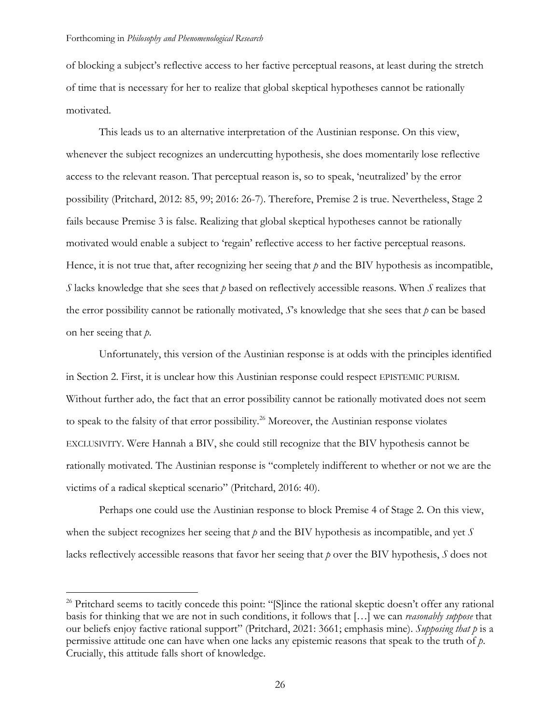of blocking a subject's reflective access to her factive perceptual reasons, at least during the stretch of time that is necessary for her to realize that global skeptical hypotheses cannot be rationally motivated.

This leads us to an alternative interpretation of the Austinian response. On this view, whenever the subject recognizes an undercutting hypothesis, she does momentarily lose reflective access to the relevant reason. That perceptual reason is, so to speak, 'neutralized' by the error possibility (Pritchard, 2012: 85, 99; 2016: 26-7). Therefore, Premise 2 is true. Nevertheless, Stage 2 fails because Premise 3 is false. Realizing that global skeptical hypotheses cannot be rationally motivated would enable a subject to 'regain' reflective access to her factive perceptual reasons. Hence, it is not true that, after recognizing her seeing that *p* and the BIV hypothesis as incompatible, *S* lacks knowledge that she sees that *p* based on reflectively accessible reasons. When *S* realizes that the error possibility cannot be rationally motivated, *S*'s knowledge that she sees that *p* can be based on her seeing that *p*.

Unfortunately, this version of the Austinian response is at odds with the principles identified in Section 2. First, it is unclear how this Austinian response could respect EPISTEMIC PURISM. Without further ado, the fact that an error possibility cannot be rationally motivated does not seem to speak to the falsity of that error possibility.<sup>26</sup> Moreover, the Austinian response violates EXCLUSIVITY. Were Hannah a BIV, she could still recognize that the BIV hypothesis cannot be rationally motivated. The Austinian response is "completely indifferent to whether or not we are the victims of a radical skeptical scenario" (Pritchard, 2016: 40).

Perhaps one could use the Austinian response to block Premise 4 of Stage 2. On this view, when the subject recognizes her seeing that *p* and the BIV hypothesis as incompatible, and yet *S* lacks reflectively accessible reasons that favor her seeing that *p* over the BIV hypothesis, *S* does not

<sup>&</sup>lt;sup>26</sup> Pritchard seems to tacitly concede this point: "[S]ince the rational skeptic doesn't offer any rational basis for thinking that we are not in such conditions, it follows that […] we can *reasonably suppose* that our beliefs enjoy factive rational support" (Pritchard, 2021: 3661; emphasis mine). *Supposing that p* is a permissive attitude one can have when one lacks any epistemic reasons that speak to the truth of *p*. Crucially, this attitude falls short of knowledge.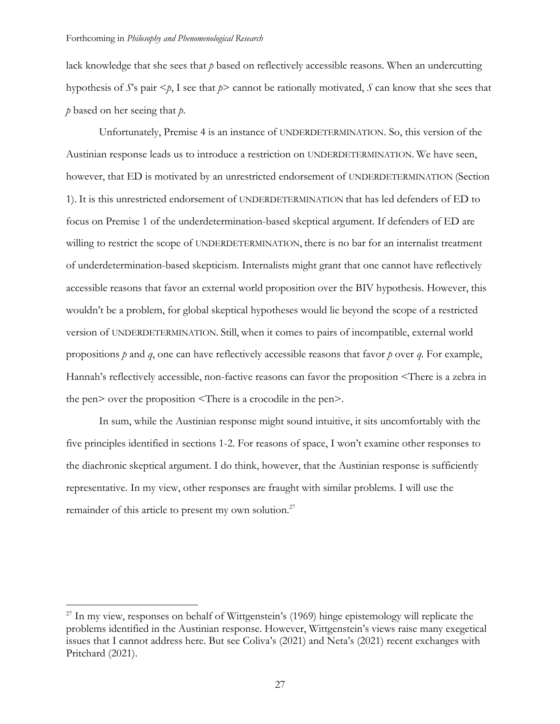lack knowledge that she sees that *p* based on reflectively accessible reasons. When an undercutting hypothesis of *S*'s pair <*p*, I see that *p*> cannot be rationally motivated, *S* can know that she sees that *p* based on her seeing that *p*.

Unfortunately, Premise 4 is an instance of UNDERDETERMINATION. So, this version of the Austinian response leads us to introduce a restriction on UNDERDETERMINATION. We have seen, however, that ED is motivated by an unrestricted endorsement of UNDERDETERMINATION (Section 1). It is this unrestricted endorsement of UNDERDETERMINATION that has led defenders of ED to focus on Premise 1 of the underdetermination-based skeptical argument. If defenders of ED are willing to restrict the scope of UNDERDETERMINATION, there is no bar for an internalist treatment of underdetermination-based skepticism. Internalists might grant that one cannot have reflectively accessible reasons that favor an external world proposition over the BIV hypothesis. However, this wouldn't be a problem, for global skeptical hypotheses would lie beyond the scope of a restricted version of UNDERDETERMINATION. Still, when it comes to pairs of incompatible, external world propositions *p* and *q*, one can have reflectively accessible reasons that favor *p* over *q*. For example, Hannah's reflectively accessible, non-factive reasons can favor the proposition <There is a zebra in the pen> over the proposition <There is a crocodile in the pen>.

In sum, while the Austinian response might sound intuitive, it sits uncomfortably with the five principles identified in sections 1-2. For reasons of space, I won't examine other responses to the diachronic skeptical argument. I do think, however, that the Austinian response is sufficiently representative. In my view, other responses are fraught with similar problems. I will use the remainder of this article to present my own solution.<sup>27</sup>

 $27$  In my view, responses on behalf of Wittgenstein's (1969) hinge epistemology will replicate the problems identified in the Austinian response. However, Wittgenstein's views raise many exegetical issues that I cannot address here. But see Coliva's (2021) and Neta's (2021) recent exchanges with Pritchard (2021).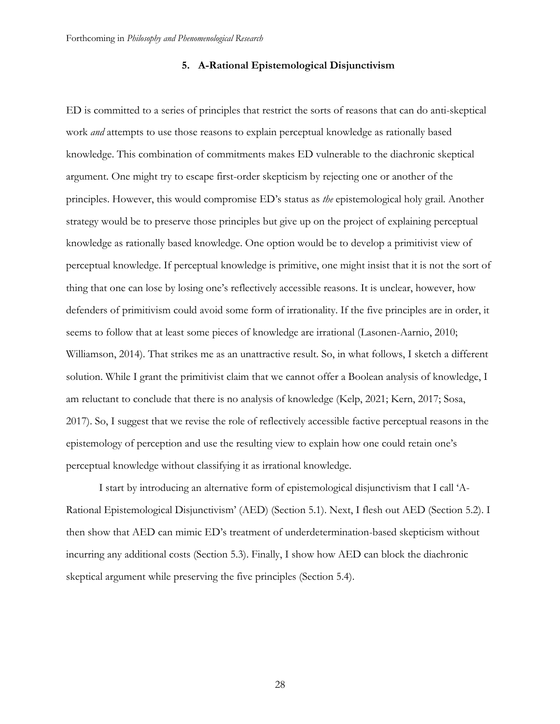## **5. A-Rational Epistemological Disjunctivism**

ED is committed to a series of principles that restrict the sorts of reasons that can do anti-skeptical work *and* attempts to use those reasons to explain perceptual knowledge as rationally based knowledge. This combination of commitments makes ED vulnerable to the diachronic skeptical argument. One might try to escape first-order skepticism by rejecting one or another of the principles. However, this would compromise ED's status as *the* epistemological holy grail. Another strategy would be to preserve those principles but give up on the project of explaining perceptual knowledge as rationally based knowledge. One option would be to develop a primitivist view of perceptual knowledge. If perceptual knowledge is primitive, one might insist that it is not the sort of thing that one can lose by losing one's reflectively accessible reasons. It is unclear, however, how defenders of primitivism could avoid some form of irrationality. If the five principles are in order, it seems to follow that at least some pieces of knowledge are irrational (Lasonen-Aarnio, 2010; Williamson, 2014). That strikes me as an unattractive result. So, in what follows, I sketch a different solution. While I grant the primitivist claim that we cannot offer a Boolean analysis of knowledge, I am reluctant to conclude that there is no analysis of knowledge (Kelp, 2021; Kern, 2017; Sosa, 2017). So, I suggest that we revise the role of reflectively accessible factive perceptual reasons in the epistemology of perception and use the resulting view to explain how one could retain one's perceptual knowledge without classifying it as irrational knowledge.

I start by introducing an alternative form of epistemological disjunctivism that I call 'A-Rational Epistemological Disjunctivism' (AED) (Section 5.1). Next, I flesh out AED (Section 5.2). I then show that AED can mimic ED's treatment of underdetermination-based skepticism without incurring any additional costs (Section 5.3). Finally, I show how AED can block the diachronic skeptical argument while preserving the five principles (Section 5.4).

28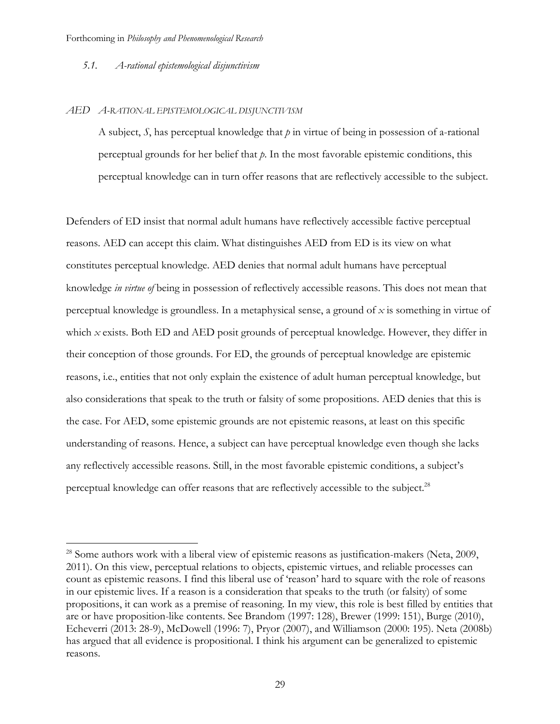## *5.1. A-rational epistemological disjunctivism*

### *AED A-RATIONAL EPISTEMOLOGICAL DISJUNCTIVISM*

A subject, *S*, has perceptual knowledge that  $p$  in virtue of being in possession of a-rational perceptual grounds for her belief that *p*. In the most favorable epistemic conditions, this perceptual knowledge can in turn offer reasons that are reflectively accessible to the subject.

Defenders of ED insist that normal adult humans have reflectively accessible factive perceptual reasons. AED can accept this claim. What distinguishes AED from ED is its view on what constitutes perceptual knowledge. AED denies that normal adult humans have perceptual knowledge *in virtue of* being in possession of reflectively accessible reasons. This does not mean that perceptual knowledge is groundless. In a metaphysical sense, a ground of *x* is something in virtue of which *x* exists. Both ED and AED posit grounds of perceptual knowledge. However, they differ in their conception of those grounds. For ED, the grounds of perceptual knowledge are epistemic reasons, i.e., entities that not only explain the existence of adult human perceptual knowledge, but also considerations that speak to the truth or falsity of some propositions. AED denies that this is the case. For AED, some epistemic grounds are not epistemic reasons, at least on this specific understanding of reasons. Hence, a subject can have perceptual knowledge even though she lacks any reflectively accessible reasons. Still, in the most favorable epistemic conditions, a subject's perceptual knowledge can offer reasons that are reflectively accessible to the subject.<sup>28</sup>

<sup>&</sup>lt;sup>28</sup> Some authors work with a liberal view of epistemic reasons as justification-makers (Neta, 2009, 2011). On this view, perceptual relations to objects, epistemic virtues, and reliable processes can count as epistemic reasons. I find this liberal use of 'reason' hard to square with the role of reasons in our epistemic lives. If a reason is a consideration that speaks to the truth (or falsity) of some propositions, it can work as a premise of reasoning. In my view, this role is best filled by entities that are or have proposition-like contents. See Brandom (1997: 128), Brewer (1999: 151), Burge (2010), Echeverri (2013: 28-9), McDowell (1996: 7), Pryor (2007), and Williamson (2000: 195). Neta (2008b) has argued that all evidence is propositional. I think his argument can be generalized to epistemic reasons.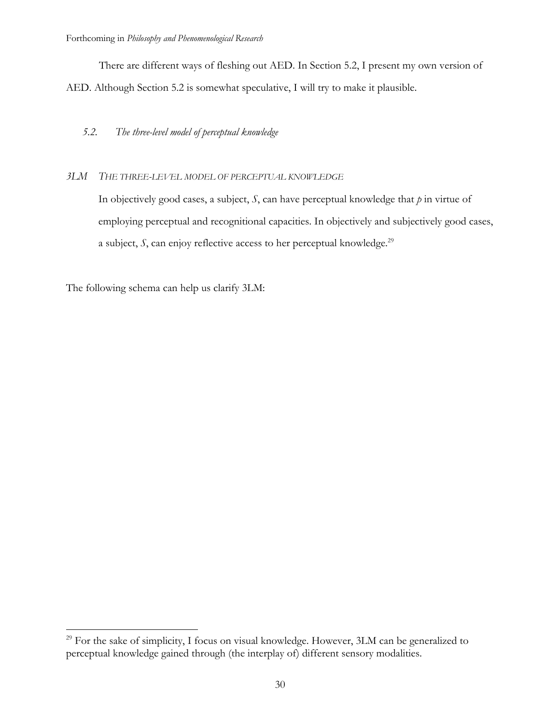There are different ways of fleshing out AED. In Section 5.2, I present my own version of AED. Although Section 5.2 is somewhat speculative, I will try to make it plausible.

# *5.2. The three-level model of perceptual knowledge*

# *3LM THE THREE-LEVEL MODEL OF PERCEPTUAL KNOWLEDGE*

In objectively good cases, a subject, *S*, can have perceptual knowledge that *p* in virtue of employing perceptual and recognitional capacities. In objectively and subjectively good cases, a subject, *S*, can enjoy reflective access to her perceptual knowledge.<sup>29</sup>

The following schema can help us clarify 3LM:

<sup>&</sup>lt;sup>29</sup> For the sake of simplicity, I focus on visual knowledge. However, 3LM can be generalized to perceptual knowledge gained through (the interplay of) different sensory modalities.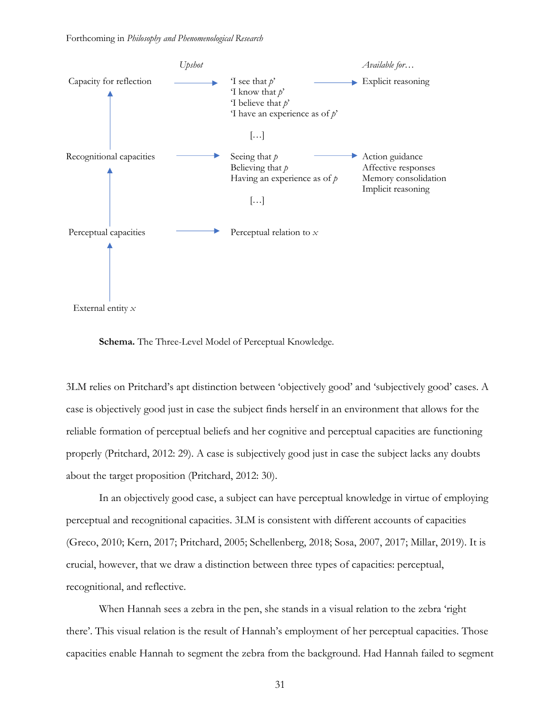

External entity *x*

**Schema.** The Three-Level Model of Perceptual Knowledge.

3LM relies on Pritchard's apt distinction between 'objectively good' and 'subjectively good' cases. A case is objectively good just in case the subject finds herself in an environment that allows for the reliable formation of perceptual beliefs and her cognitive and perceptual capacities are functioning properly (Pritchard, 2012: 29). A case is subjectively good just in case the subject lacks any doubts about the target proposition (Pritchard, 2012: 30).

In an objectively good case, a subject can have perceptual knowledge in virtue of employing perceptual and recognitional capacities. 3LM is consistent with different accounts of capacities (Greco, 2010; Kern, 2017; Pritchard, 2005; Schellenberg, 2018; Sosa, 2007, 2017; Millar, 2019). It is crucial, however, that we draw a distinction between three types of capacities: perceptual, recognitional, and reflective.

When Hannah sees a zebra in the pen, she stands in a visual relation to the zebra 'right there'. This visual relation is the result of Hannah's employment of her perceptual capacities. Those capacities enable Hannah to segment the zebra from the background. Had Hannah failed to segment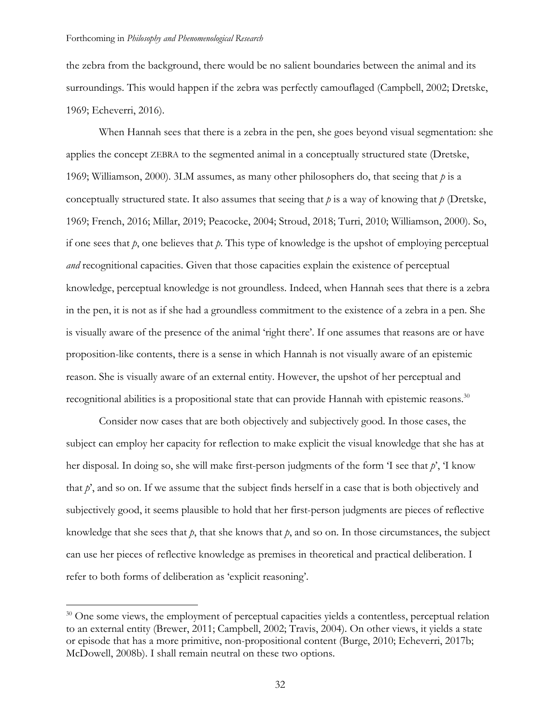the zebra from the background, there would be no salient boundaries between the animal and its surroundings. This would happen if the zebra was perfectly camouflaged (Campbell, 2002; Dretske, 1969; Echeverri, 2016).

When Hannah sees that there is a zebra in the pen, she goes beyond visual segmentation: she applies the concept ZEBRA to the segmented animal in a conceptually structured state (Dretske, 1969; Williamson, 2000). 3LM assumes, as many other philosophers do, that seeing that *p* is a conceptually structured state. It also assumes that seeing that  $p$  is a way of knowing that  $p$  (Dretske, 1969; French, 2016; Millar, 2019; Peacocke, 2004; Stroud, 2018; Turri, 2010; Williamson, 2000). So, if one sees that *p*, one believes that *p*. This type of knowledge is the upshot of employing perceptual *and* recognitional capacities. Given that those capacities explain the existence of perceptual knowledge, perceptual knowledge is not groundless. Indeed, when Hannah sees that there is a zebra in the pen, it is not as if she had a groundless commitment to the existence of a zebra in a pen. She is visually aware of the presence of the animal 'right there'. If one assumes that reasons are or have proposition-like contents, there is a sense in which Hannah is not visually aware of an epistemic reason. She is visually aware of an external entity. However, the upshot of her perceptual and recognitional abilities is a propositional state that can provide Hannah with epistemic reasons.<sup>30</sup>

Consider now cases that are both objectively and subjectively good. In those cases, the subject can employ her capacity for reflection to make explicit the visual knowledge that she has at her disposal. In doing so, she will make first-person judgments of the form 'I see that *p*', 'I know that *p*', and so on. If we assume that the subject finds herself in a case that is both objectively and subjectively good, it seems plausible to hold that her first-person judgments are pieces of reflective knowledge that she sees that *p*, that she knows that *p*, and so on. In those circumstances, the subject can use her pieces of reflective knowledge as premises in theoretical and practical deliberation. I refer to both forms of deliberation as 'explicit reasoning'.

<sup>&</sup>lt;sup>30</sup> One some views, the employment of perceptual capacities yields a contentless, perceptual relation to an external entity (Brewer, 2011; Campbell, 2002; Travis, 2004). On other views, it yields a state or episode that has a more primitive, non-propositional content (Burge, 2010; Echeverri, 2017b; McDowell, 2008b). I shall remain neutral on these two options.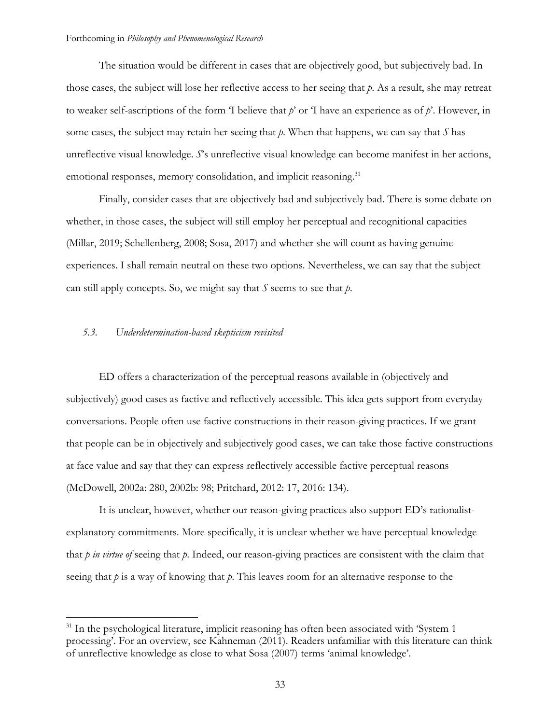The situation would be different in cases that are objectively good, but subjectively bad. In those cases, the subject will lose her reflective access to her seeing that *p*. As a result, she may retreat to weaker self-ascriptions of the form 'I believe that *p*' or 'I have an experience as of *p*'. However, in some cases, the subject may retain her seeing that *p*. When that happens, we can say that *S* has unreflective visual knowledge. *S*'s unreflective visual knowledge can become manifest in her actions, emotional responses, memory consolidation, and implicit reasoning.<sup>31</sup>

Finally, consider cases that are objectively bad and subjectively bad. There is some debate on whether, in those cases, the subject will still employ her perceptual and recognitional capacities (Millar, 2019; Schellenberg, 2008; Sosa, 2017) and whether she will count as having genuine experiences. I shall remain neutral on these two options. Nevertheless, we can say that the subject can still apply concepts. So, we might say that *S* seems to see that *p*.

## *5.3. Underdetermination-based skepticism revisited*

ED offers a characterization of the perceptual reasons available in (objectively and subjectively) good cases as factive and reflectively accessible. This idea gets support from everyday conversations. People often use factive constructions in their reason-giving practices. If we grant that people can be in objectively and subjectively good cases, we can take those factive constructions at face value and say that they can express reflectively accessible factive perceptual reasons (McDowell, 2002a: 280, 2002b: 98; Pritchard, 2012: 17, 2016: 134).

It is unclear, however, whether our reason-giving practices also support ED's rationalistexplanatory commitments. More specifically, it is unclear whether we have perceptual knowledge that *p in virtue of* seeing that *p*. Indeed, our reason-giving practices are consistent with the claim that seeing that *p* is a way of knowing that *p*. This leaves room for an alternative response to the

<sup>&</sup>lt;sup>31</sup> In the psychological literature, implicit reasoning has often been associated with 'System 1 processing'. For an overview, see Kahneman (2011). Readers unfamiliar with this literature can think of unreflective knowledge as close to what Sosa (2007) terms 'animal knowledge'.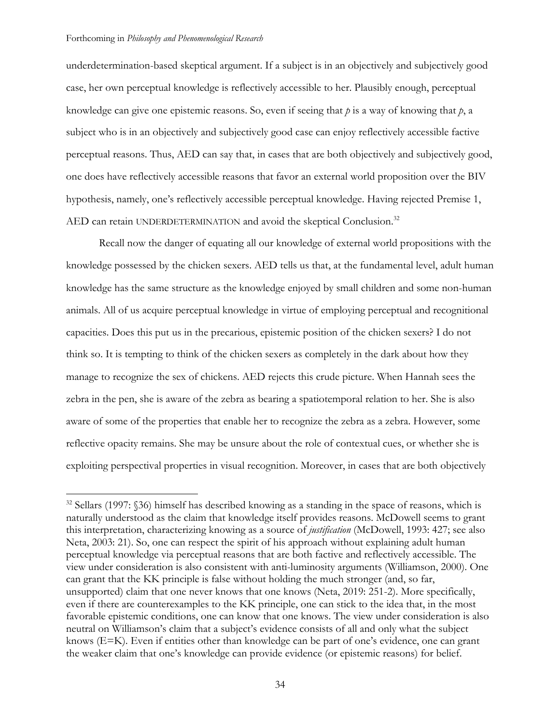underdetermination-based skeptical argument. If a subject is in an objectively and subjectively good case, her own perceptual knowledge is reflectively accessible to her. Plausibly enough, perceptual knowledge can give one epistemic reasons. So, even if seeing that *p* is a way of knowing that *p*, a subject who is in an objectively and subjectively good case can enjoy reflectively accessible factive perceptual reasons. Thus, AED can say that, in cases that are both objectively and subjectively good, one does have reflectively accessible reasons that favor an external world proposition over the BIV hypothesis, namely, one's reflectively accessible perceptual knowledge. Having rejected Premise 1, AED can retain UNDERDETERMINATION and avoid the skeptical Conclusion.<sup>32</sup>

Recall now the danger of equating all our knowledge of external world propositions with the knowledge possessed by the chicken sexers. AED tells us that, at the fundamental level, adult human knowledge has the same structure as the knowledge enjoyed by small children and some non-human animals. All of us acquire perceptual knowledge in virtue of employing perceptual and recognitional capacities. Does this put us in the precarious, epistemic position of the chicken sexers? I do not think so. It is tempting to think of the chicken sexers as completely in the dark about how they manage to recognize the sex of chickens. AED rejects this crude picture. When Hannah sees the zebra in the pen, she is aware of the zebra as bearing a spatiotemporal relation to her. She is also aware of some of the properties that enable her to recognize the zebra as a zebra. However, some reflective opacity remains. She may be unsure about the role of contextual cues, or whether she is exploiting perspectival properties in visual recognition. Moreover, in cases that are both objectively

<sup>&</sup>lt;sup>32</sup> Sellars (1997: §36) himself has described knowing as a standing in the space of reasons, which is naturally understood as the claim that knowledge itself provides reasons. McDowell seems to grant this interpretation, characterizing knowing as a source of *justification* (McDowell, 1993: 427; see also Neta, 2003: 21). So, one can respect the spirit of his approach without explaining adult human perceptual knowledge via perceptual reasons that are both factive and reflectively accessible. The view under consideration is also consistent with anti-luminosity arguments (Williamson, 2000). One can grant that the KK principle is false without holding the much stronger (and, so far, unsupported) claim that one never knows that one knows (Neta, 2019: 251-2). More specifically, even if there are counterexamples to the KK principle, one can stick to the idea that, in the most favorable epistemic conditions, one can know that one knows. The view under consideration is also neutral on Williamson's claim that a subject's evidence consists of all and only what the subject knows (E=K). Even if entities other than knowledge can be part of one's evidence, one can grant the weaker claim that one's knowledge can provide evidence (or epistemic reasons) for belief.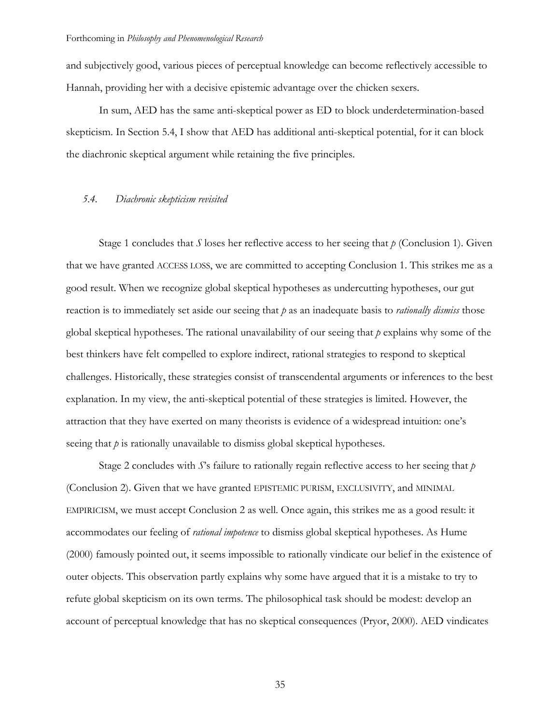and subjectively good, various pieces of perceptual knowledge can become reflectively accessible to Hannah, providing her with a decisive epistemic advantage over the chicken sexers.

In sum, AED has the same anti-skeptical power as ED to block underdetermination-based skepticism. In Section 5.4, I show that AED has additional anti-skeptical potential, for it can block the diachronic skeptical argument while retaining the five principles.

### *5.4. Diachronic skepticism revisited*

Stage 1 concludes that *S* loses her reflective access to her seeing that *p* (Conclusion 1). Given that we have granted ACCESS LOSS, we are committed to accepting Conclusion 1. This strikes me as a good result. When we recognize global skeptical hypotheses as undercutting hypotheses, our gut reaction is to immediately set aside our seeing that *p* as an inadequate basis to *rationally dismiss* those global skeptical hypotheses. The rational unavailability of our seeing that *p* explains why some of the best thinkers have felt compelled to explore indirect, rational strategies to respond to skeptical challenges. Historically, these strategies consist of transcendental arguments or inferences to the best explanation. In my view, the anti-skeptical potential of these strategies is limited. However, the attraction that they have exerted on many theorists is evidence of a widespread intuition: one's seeing that *p* is rationally unavailable to dismiss global skeptical hypotheses.

Stage 2 concludes with *S*'s failure to rationally regain reflective access to her seeing that *p*  (Conclusion 2). Given that we have granted EPISTEMIC PURISM, EXCLUSIVITY, and MINIMAL EMPIRICISM, we must accept Conclusion 2 as well. Once again, this strikes me as a good result: it accommodates our feeling of *rational impotence* to dismiss global skeptical hypotheses. As Hume (2000) famously pointed out, it seems impossible to rationally vindicate our belief in the existence of outer objects. This observation partly explains why some have argued that it is a mistake to try to refute global skepticism on its own terms. The philosophical task should be modest: develop an account of perceptual knowledge that has no skeptical consequences (Pryor, 2000). AED vindicates

35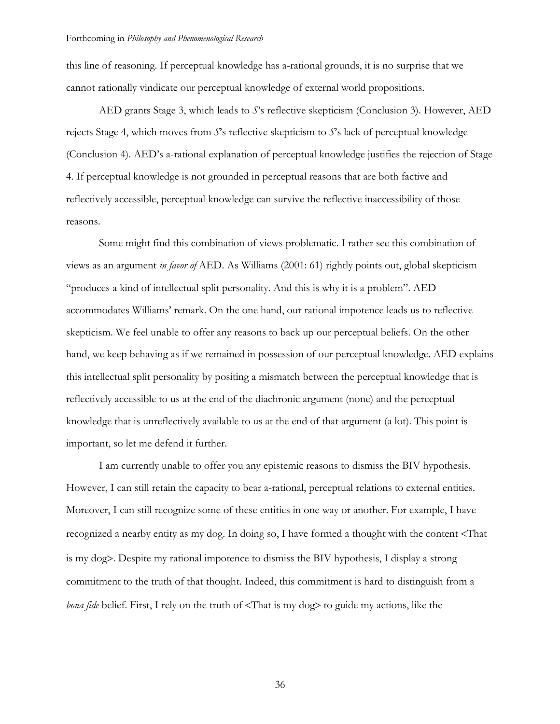this line of reasoning. If perceptual knowledge has a-rational grounds, it is no surprise that we cannot rationally vindicate our perceptual knowledge of external world propositions.

AED grants Stage 3, which leads to *S*'s reflective skepticism (Conclusion 3). However, AED rejects Stage 4, which moves from *S*'s reflective skepticism to *S*'s lack of perceptual knowledge (Conclusion 4). AED's a-rational explanation of perceptual knowledge justifies the rejection of Stage 4. If perceptual knowledge is not grounded in perceptual reasons that are both factive and reflectively accessible, perceptual knowledge can survive the reflective inaccessibility of those reasons.

Some might find this combination of views problematic. I rather see this combination of views as an argument *in favor of* AED. As Williams (2001: 61) rightly points out, global skepticism "produces a kind of intellectual split personality. And this is why it is a problem". AED accommodates Williams' remark. On the one hand, our rational impotence leads us to reflective skepticism. We feel unable to offer any reasons to back up our perceptual beliefs. On the other hand, we keep behaving as if we remained in possession of our perceptual knowledge. AED explains this intellectual split personality by positing a mismatch between the perceptual knowledge that is reflectively accessible to us at the end of the diachronic argument (none) and the perceptual knowledge that is unreflectively available to us at the end of that argument (a lot). This point is important, so let me defend it further.

I am currently unable to offer you any epistemic reasons to dismiss the BIV hypothesis. However, I can still retain the capacity to bear a-rational, perceptual relations to external entities. Moreover, I can still recognize some of these entities in one way or another. For example, I have recognized a nearby entity as my dog. In doing so, I have formed a thought with the content <That is my dog>. Despite my rational impotence to dismiss the BIV hypothesis, I display a strong commitment to the truth of that thought. Indeed, this commitment is hard to distinguish from a *bona fide* belief. First, I rely on the truth of <That is my dog> to guide my actions, like the

36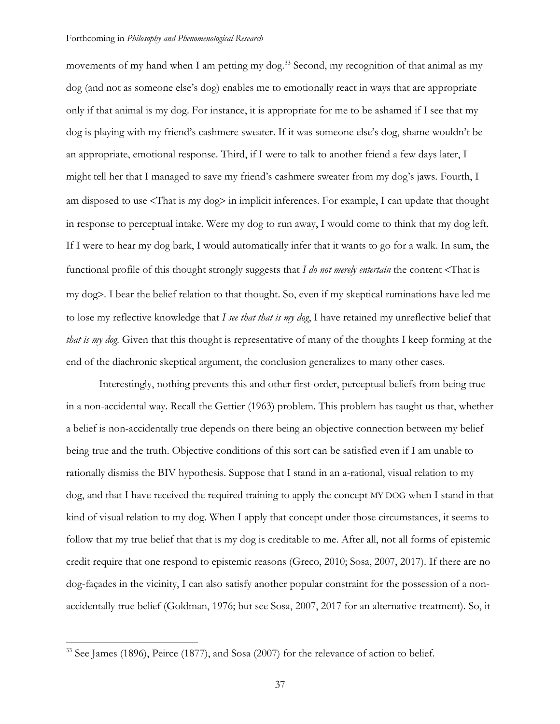movements of my hand when I am petting my dog.<sup>33</sup> Second, my recognition of that animal as my dog (and not as someone else's dog) enables me to emotionally react in ways that are appropriate only if that animal is my dog. For instance, it is appropriate for me to be ashamed if I see that my dog is playing with my friend's cashmere sweater. If it was someone else's dog, shame wouldn't be an appropriate, emotional response. Third, if I were to talk to another friend a few days later, I might tell her that I managed to save my friend's cashmere sweater from my dog's jaws. Fourth, I am disposed to use <That is my dog> in implicit inferences. For example, I can update that thought in response to perceptual intake. Were my dog to run away, I would come to think that my dog left. If I were to hear my dog bark, I would automatically infer that it wants to go for a walk. In sum, the functional profile of this thought strongly suggests that *I do not merely entertain* the content <That is my dog>. I bear the belief relation to that thought. So, even if my skeptical ruminations have led me to lose my reflective knowledge that *I see that that is my dog*, I have retained my unreflective belief that *that is my dog*. Given that this thought is representative of many of the thoughts I keep forming at the end of the diachronic skeptical argument, the conclusion generalizes to many other cases.

Interestingly, nothing prevents this and other first-order, perceptual beliefs from being true in a non-accidental way. Recall the Gettier (1963) problem. This problem has taught us that, whether a belief is non-accidentally true depends on there being an objective connection between my belief being true and the truth. Objective conditions of this sort can be satisfied even if I am unable to rationally dismiss the BIV hypothesis. Suppose that I stand in an a-rational, visual relation to my dog, and that I have received the required training to apply the concept MY DOG when I stand in that kind of visual relation to my dog. When I apply that concept under those circumstances, it seems to follow that my true belief that that is my dog is creditable to me. After all, not all forms of epistemic credit require that one respond to epistemic reasons (Greco, 2010; Sosa, 2007, 2017). If there are no dog-façades in the vicinity, I can also satisfy another popular constraint for the possession of a nonaccidentally true belief (Goldman, 1976; but see Sosa, 2007, 2017 for an alternative treatment). So, it

<sup>&</sup>lt;sup>33</sup> See James (1896), Peirce (1877), and Sosa (2007) for the relevance of action to belief.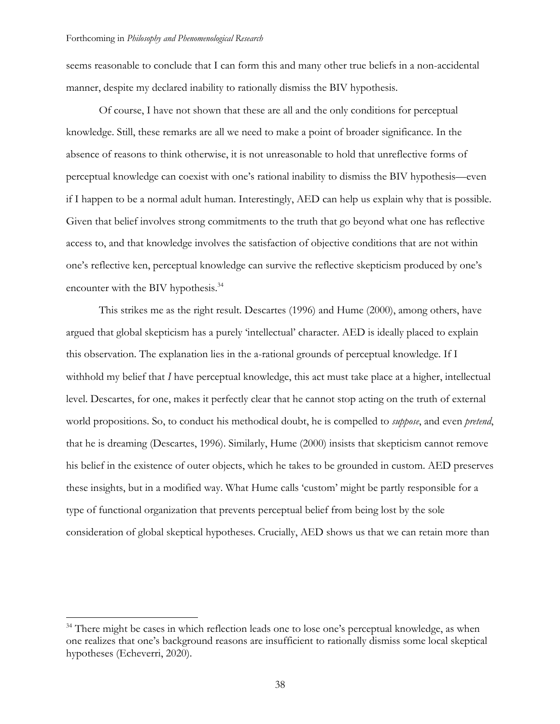seems reasonable to conclude that I can form this and many other true beliefs in a non-accidental manner, despite my declared inability to rationally dismiss the BIV hypothesis.

Of course, I have not shown that these are all and the only conditions for perceptual knowledge. Still, these remarks are all we need to make a point of broader significance. In the absence of reasons to think otherwise, it is not unreasonable to hold that unreflective forms of perceptual knowledge can coexist with one's rational inability to dismiss the BIV hypothesis—even if I happen to be a normal adult human. Interestingly, AED can help us explain why that is possible. Given that belief involves strong commitments to the truth that go beyond what one has reflective access to, and that knowledge involves the satisfaction of objective conditions that are not within one's reflective ken, perceptual knowledge can survive the reflective skepticism produced by one's encounter with the BIV hypothesis.<sup>34</sup>

This strikes me as the right result. Descartes (1996) and Hume (2000), among others, have argued that global skepticism has a purely 'intellectual' character. AED is ideally placed to explain this observation. The explanation lies in the a-rational grounds of perceptual knowledge. If I withhold my belief that *I* have perceptual knowledge, this act must take place at a higher, intellectual level. Descartes, for one, makes it perfectly clear that he cannot stop acting on the truth of external world propositions. So, to conduct his methodical doubt, he is compelled to *suppose*, and even *pretend*, that he is dreaming (Descartes, 1996). Similarly, Hume (2000) insists that skepticism cannot remove his belief in the existence of outer objects, which he takes to be grounded in custom. AED preserves these insights, but in a modified way. What Hume calls 'custom' might be partly responsible for a type of functional organization that prevents perceptual belief from being lost by the sole consideration of global skeptical hypotheses. Crucially, AED shows us that we can retain more than

<sup>&</sup>lt;sup>34</sup> There might be cases in which reflection leads one to lose one's perceptual knowledge, as when one realizes that one's background reasons are insufficient to rationally dismiss some local skeptical hypotheses (Echeverri, 2020).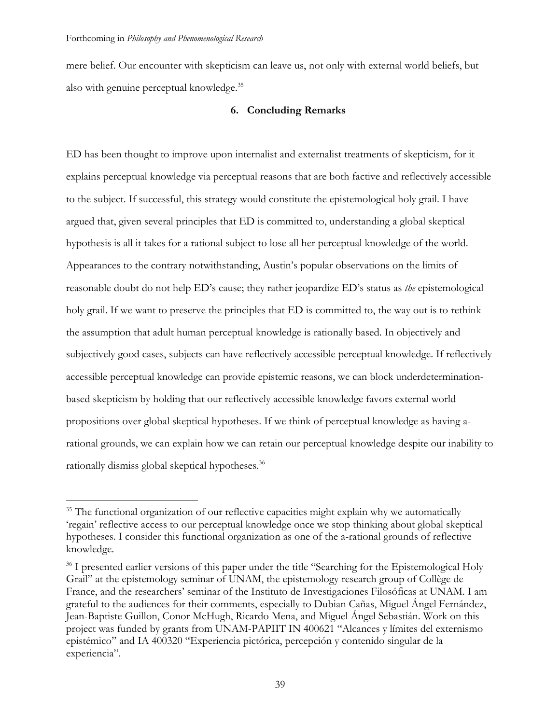mere belief. Our encounter with skepticism can leave us, not only with external world beliefs, but also with genuine perceptual knowledge. 35

## **6. Concluding Remarks**

ED has been thought to improve upon internalist and externalist treatments of skepticism, for it explains perceptual knowledge via perceptual reasons that are both factive and reflectively accessible to the subject. If successful, this strategy would constitute the epistemological holy grail. I have argued that, given several principles that ED is committed to, understanding a global skeptical hypothesis is all it takes for a rational subject to lose all her perceptual knowledge of the world. Appearances to the contrary notwithstanding, Austin's popular observations on the limits of reasonable doubt do not help ED's cause; they rather jeopardize ED's status as *the* epistemological holy grail. If we want to preserve the principles that ED is committed to, the way out is to rethink the assumption that adult human perceptual knowledge is rationally based. In objectively and subjectively good cases, subjects can have reflectively accessible perceptual knowledge. If reflectively accessible perceptual knowledge can provide epistemic reasons, we can block underdeterminationbased skepticism by holding that our reflectively accessible knowledge favors external world propositions over global skeptical hypotheses. If we think of perceptual knowledge as having arational grounds, we can explain how we can retain our perceptual knowledge despite our inability to rationally dismiss global skeptical hypotheses.<sup>36</sup>

<sup>&</sup>lt;sup>35</sup> The functional organization of our reflective capacities might explain why we automatically 'regain' reflective access to our perceptual knowledge once we stop thinking about global skeptical hypotheses. I consider this functional organization as one of the a-rational grounds of reflective knowledge.

<sup>&</sup>lt;sup>36</sup> I presented earlier versions of this paper under the title "Searching for the Epistemological Holy Grail" at the epistemology seminar of UNAM, the epistemology research group of Collège de France, and the researchers' seminar of the Instituto de Investigaciones Filosóficas at UNAM. I am grateful to the audiences for their comments, especially to Dubian Cañas, Miguel Ángel Fernández, Jean-Baptiste Guillon, Conor McHugh, Ricardo Mena, and Miguel Ángel Sebastián. Work on this project was funded by grants from UNAM-PAPIIT IN 400621 "Alcances y límites del externismo epistémico" and IA 400320 "Experiencia pictórica, percepción y contenido singular de la experiencia".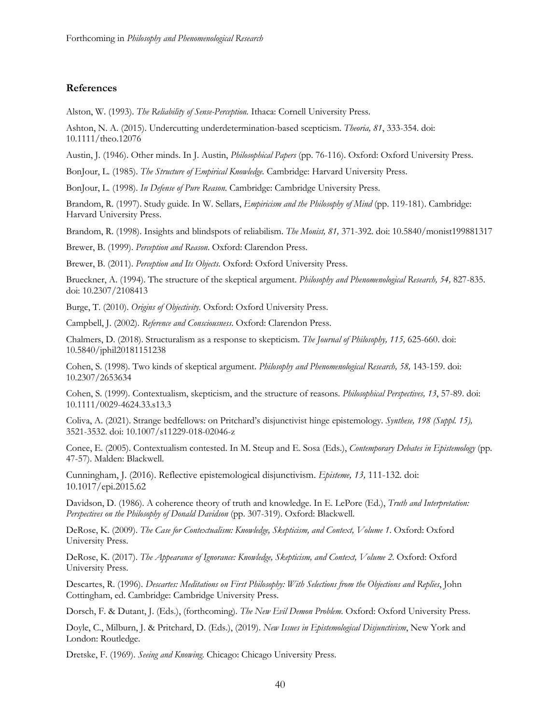## **References**

Alston, W. (1993). *The Reliability of Sense-Perception.* Ithaca: Cornell University Press.

Ashton, N. A. (2015). Undercutting underdetermination-based scepticism. *Theoria, 81*, 333-354. doi: 10.1111/theo.12076

Austin, J. (1946). Other minds. In J. Austin, *Philosophical Papers* (pp. 76-116). Oxford: Oxford University Press.

BonJour, L. (1985). *The Structure of Empirical Knowledge.* Cambridge: Harvard University Press.

BonJour, L. (1998). *In Defense of Pure Reason*. Cambridge: Cambridge University Press.

Brandom, R. (1997). Study guide. In W. Sellars, *Empiricism and the Philosophy of Mind* (pp. 119-181). Cambridge: Harvard University Press.

Brandom, R. (1998). Insights and blindspots of reliabilism. *The Monist, 81,* 371-392. doi: 10.5840/monist199881317

Brewer, B. (1999). *Perception and Reason*. Oxford: Clarendon Press.

Brewer, B. (2011). *Perception and Its Objects*. Oxford: Oxford University Press.

Brueckner, A. (1994). The structure of the skeptical argument. *Philosophy and Phenomenological Research, 54,* 827-835. doi: 10.2307/2108413

Burge, T. (2010). *Origins of Objectivity*. Oxford: Oxford University Press.

Campbell, J. (2002). *Reference and Consciousness*. Oxford: Clarendon Press.

Chalmers, D. (2018). Structuralism as a response to skepticism. *The Journal of Philosophy, 115,* 625-660. doi: 10.5840/jphil20181151238

Cohen, S. (1998). Two kinds of skeptical argument. *Philosophy and Phenomenological Research, 58,* 143-159. doi: 10.2307/2653634

Cohen, S. (1999). Contextualism, skepticism, and the structure of reasons. *Philosophical Perspectives, 13*, 57-89. doi: 10.1111/0029-4624.33.s13.3

Coliva, A. (2021). Strange bedfellows: on Pritchard's disjunctivist hinge epistemology. *Synthese, 198 (Suppl. 15),* 3521-3532. doi: 10.1007/s11229-018-02046-z

Conee, E. (2005). Contextualism contested. In M. Steup and E. Sosa (Eds.), *Contemporary Debates in Epistemology* (pp. 47-57). Malden: Blackwell.

Cunningham, J. (2016). Reflective epistemological disjunctivism. *Episteme, 13,* 111-132. doi: 10.1017/epi.2015.62

Davidson, D. (1986). A coherence theory of truth and knowledge. In E. LePore (Ed.), *Truth and Interpretation: Perspectives on the Philosophy of Donald Davidson* (pp. 307-319). Oxford: Blackwell.

DeRose, K. (2009). *The Case for Contextualism: Knowledge, Skepticism, and Context, Volume 1*. Oxford: Oxford University Press.

DeRose, K. (2017). *The Appearance of Ignorance: Knowledge, Skepticism, and Context, Volume 2*. Oxford: Oxford University Press.

Descartes, R. (1996). *Descartes: Meditations on First Philosophy: With Selections from the Objections and Replies*, John Cottingham, ed. Cambridge: Cambridge University Press.

Dorsch, F. & Dutant, J. (Eds.), (forthcoming). *The New Evil Demon Problem*. Oxford: Oxford University Press.

Doyle, C., Milburn, J. & Pritchard, D. (Eds.), (2019). *New Issues in Epistemological Disjunctivism*, New York and London: Routledge.

Dretske, F. (1969). *Seeing and Knowing*. Chicago: Chicago University Press.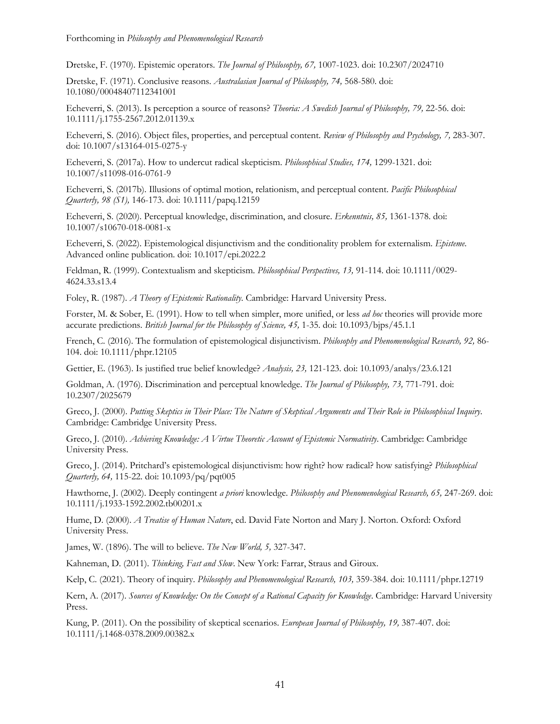Dretske, F. (1970). Epistemic operators. *The Journal of Philosophy, 67,* 1007-1023. doi: 10.2307/2024710

Dretske, F. (1971). Conclusive reasons. *Australasian Journal of Philosophy, 74,* 568-580. doi: 10.1080/00048407112341001

Echeverri, S. (2013). Is perception a source of reasons? *Theoria: A Swedish Journal of Philosophy, 79,* 22-56. doi: 10.1111/j.1755-2567.2012.01139.x

Echeverri, S. (2016). Object files, properties, and perceptual content. *Review of Philosophy and Psychology, 7,* 283-307. doi: 10.1007/s13164-015-0275-y

Echeverri, S. (2017a). How to undercut radical skepticism. *Philosophical Studies, 174,* 1299-1321. doi: 10.1007/s11098-016-0761-9

Echeverri, S. (2017b). Illusions of optimal motion, relationism, and perceptual content. *Pacific Philosophical Quarterly, 98 (S1),* 146-173. doi: 10.1111/papq.12159

Echeverri, S. (2020). Perceptual knowledge, discrimination, and closure. *Erkenntnis, 85,* 1361-1378. doi: 10.1007/s10670-018-0081-x

Echeverri, S. (2022). Epistemological disjunctivism and the conditionality problem for externalism. *Episteme*. Advanced online publication. doi: 10.1017/epi.2022.2

Feldman, R. (1999). Contextualism and skepticism. *Philosophical Perspectives, 13,* 91-114. doi: 10.1111/0029- 4624.33.s13.4

Foley, R. (1987). *A Theory of Epistemic Rationality*. Cambridge: Harvard University Press.

Forster, M. & Sober, E. (1991). How to tell when simpler, more unified, or less *ad hoc* theories will provide more accurate predictions. *British Journal for the Philosophy of Science, 45,* 1-35. doi: 10.1093/bjps/45.1.1

French, C. (2016). The formulation of epistemological disjunctivism. *Philosophy and Phenomenological Research, 92,* 86- 104. doi: 10.1111/phpr.12105

Gettier, E. (1963). Is justified true belief knowledge? *Analysis, 23,* 121-123. doi: 10.1093/analys/23.6.121

Goldman, A. (1976). Discrimination and perceptual knowledge. *The Journal of Philosophy, 73,* 771-791. doi: 10.2307/2025679

Greco, J. (2000). *Putting Skeptics in Their Place: The Nature of Skeptical Arguments and Their Role in Philosophical Inquiry*. Cambridge: Cambridge University Press.

Greco, J. (2010). *Achieving Knowledge: A Virtue Theoretic Account of Epistemic Normativity*. Cambridge: Cambridge University Press.

Greco, J. (2014). Pritchard's epistemological disjunctivism: how right? how radical? how satisfying? *Philosophical Quarterly, 64,* 115-22. doi: 10.1093/pq/pqt005

Hawthorne, J. (2002). Deeply contingent *a priori* knowledge. *Philosophy and Phenomenological Research, 65,* 247-269. doi: 10.1111/j.1933-1592.2002.tb00201.x

Hume, D. (2000). *A Treatise of Human Nature*, ed. David Fate Norton and Mary J. Norton. Oxford: Oxford University Press.

James, W. (1896). The will to believe. *The New World, 5,* 327-347.

Kahneman, D. (2011). *Thinking, Fast and Slow*. New York: Farrar, Straus and Giroux.

Kelp, C. (2021). Theory of inquiry. *Philosophy and Phenomenological Research, 103,* 359-384. doi: 10.1111/phpr.12719

Kern, A. (2017). *Sources of Knowledge: On the Concept of a Rational Capacity for Knowledge*. Cambridge: Harvard University Press.

Kung, P. (2011). On the possibility of skeptical scenarios. *European Journal of Philosophy, 19,* 387-407. doi: 10.1111/j.1468-0378.2009.00382.x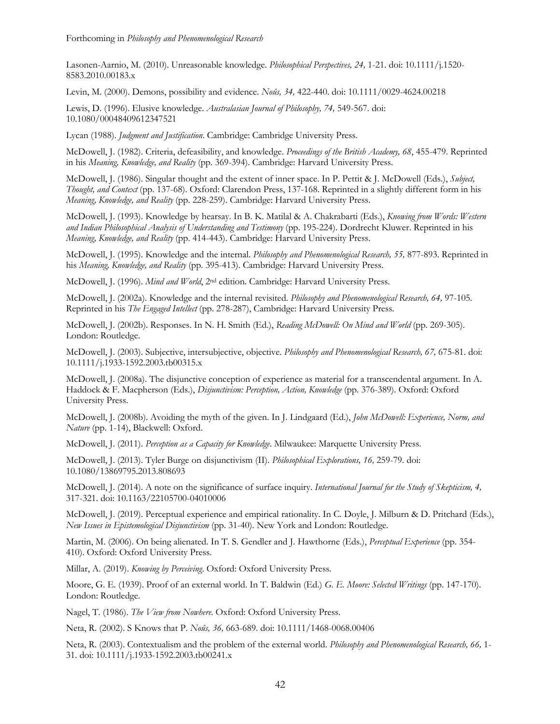Lasonen-Aarnio, M. (2010). Unreasonable knowledge. *Philosophical Perspectives, 24,* 1-21. doi: 10.1111/j.1520- 8583.2010.00183.x

Levin, M. (2000). Demons, possibility and evidence. *Noûs, 34,* 422-440. doi: 10.1111/0029-4624.00218

Lewis, D. (1996). Elusive knowledge. *Australasian Journal of Philosophy, 74,* 549-567. doi: 10.1080/00048409612347521

Lycan (1988). *Judgment and Justification*. Cambridge: Cambridge University Press.

McDowell, J. (1982). Criteria, defeasibility, and knowledge. *Proceedings of the British Academy, 68*, 455-479. Reprinted in his *Meaning, Knowledge, and Reality* (pp. 369-394). Cambridge: Harvard University Press.

McDowell, J. (1986). Singular thought and the extent of inner space. In P. Pettit & J. McDowell (Eds.), *Subject, Thought, and Context* (pp. 137-68). Oxford: Clarendon Press, 137-168. Reprinted in a slightly different form in his *Meaning, Knowledge, and Reality* (pp. 228-259). Cambridge: Harvard University Press.

McDowell, J. (1993). Knowledge by hearsay. In B. K. Matilal & A. Chakrabarti (Eds.), *Knowing from Words: Western and Indian Philosophical Analysis of Understanding and Testimony* (pp. 195-224). Dordrecht Kluwer. Reprinted in his *Meaning, Knowledge, and Reality* (pp. 414-443). Cambridge: Harvard University Press.

McDowell, J. (1995). Knowledge and the internal. *Philosophy and Phenomenological Research, 55,* 877-893. Reprinted in his *Meaning, Knowledge, and Reality* (pp. 395-413). Cambridge: Harvard University Press.

McDowell, J. (1996). *Mind and World*, 2nd edition. Cambridge: Harvard University Press.

McDowell, J. (2002a). Knowledge and the internal revisited. *Philosophy and Phenomenological Research, 64,* 97-105*.*  Reprinted in his *The Engaged Intellect* (pp. 278-287), Cambridge: Harvard University Press.

McDowell, J. (2002b). Responses. In N. H. Smith (Ed.), *Reading McDowell: On Mind and World* (pp. 269-305). London: Routledge.

McDowell, J. (2003). Subjective, intersubjective, objective. *Philosophy and Phenomenological Research, 67,* 675-81. doi: 10.1111/j.1933-1592.2003.tb00315.x

McDowell, J. (2008a). The disjunctive conception of experience as material for a transcendental argument. In A. Haddock & F. Macpherson (Eds.), *Disjunctivism: Perception, Action, Knowledge* (pp. 376-389). Oxford: Oxford University Press.

McDowell, J. (2008b). Avoiding the myth of the given. In J. Lindgaard (Ed.), *John McDowell: Experience, Norm, and Nature* (pp. 1-14), Blackwell: Oxford.

McDowell, J. (2011). *Perception as a Capacity for Knowledge*. Milwaukee: Marquette University Press.

McDowell, J. (2013). Tyler Burge on disjunctivism (II). *Philosophical Explorations, 16,* 259-79. doi: 10.1080/13869795.2013.808693

McDowell, J. (2014). A note on the significance of surface inquiry. *International Journal for the Study of Skepticism, 4,* 317-321. doi: 10.1163/22105700-04010006

McDowell, J. (2019). Perceptual experience and empirical rationality. In C. Doyle, J. Milburn & D. Pritchard (Eds.), *New Issues in Epistemological Disjunctivism* (pp. 31-40). New York and London: Routledge.

Martin, M. (2006). On being alienated. In T. S. Gendler and J. Hawthorne (Eds.), *Perceptual Experience* (pp. 354- 410). Oxford: Oxford University Press.

Millar, A. (2019). *Knowing by Perceiving*. Oxford: Oxford University Press.

Moore, G. E. (1939). Proof of an external world. In T. Baldwin (Ed.) *G. E. Moore: Selected Writings* (pp. 147-170). London: Routledge.

Nagel, T. (1986). *The View from Nowhere*. Oxford: Oxford University Press.

Neta, R. (2002). S Knows that P. *Noûs, 36,* 663-689. doi: 10.1111/1468-0068.00406

Neta, R. (2003). Contextualism and the problem of the external world. *Philosophy and Phenomenological Research, 66,* 1- 31. doi: 10.1111/j.1933-1592.2003.tb00241.x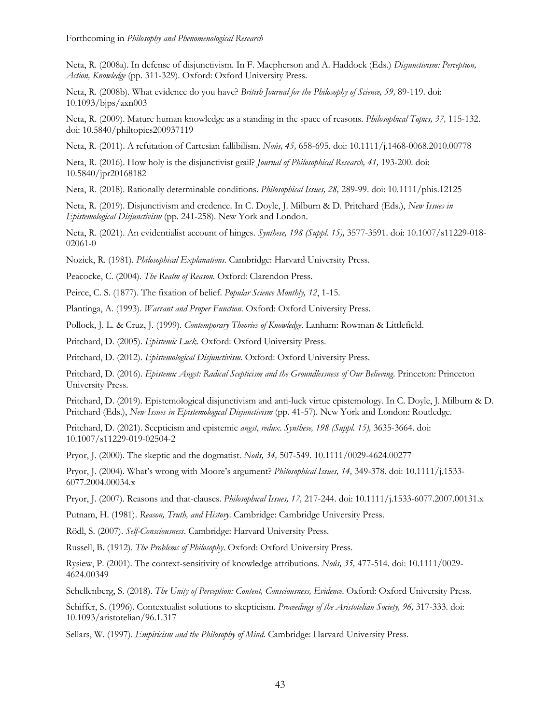Neta, R. (2008a). In defense of disjunctivism. In F. Macpherson and A. Haddock (Eds.) *Disjunctivism: Perception, Action, Knowledge* (pp. 311-329). Oxford: Oxford University Press.

Neta, R. (2008b). What evidence do you have? *British Journal for the Philosophy of Science, 59,* 89-119. doi: 10.1093/bjps/axn003

Neta, R. (2009). Mature human knowledge as a standing in the space of reasons. *Philosophical Topics, 37,* 115-132. doi: 10.5840/philtopics200937119

Neta, R. (2011). A refutation of Cartesian fallibilism. *Noûs, 45,* 658-695. doi: 10.1111/j.1468-0068.2010.00778

Neta, R. (2016). How holy is the disjunctivist grail? *Journal of Philosophical Research, 41,* 193-200. doi: 10.5840/jpr20168182

Neta, R. (2018). Rationally determinable conditions. *Philosophical Issues, 28,* 289-99. doi: 10.1111/phis.12125

Neta, R. (2019). Disjunctivism and credence. In C. Doyle, J. Milburn & D. Pritchard (Eds.), *New Issues in Epistemological Disjunctivism* (pp. 241-258). New York and London.

Neta, R. (2021). An evidentialist account of hinges. *Synthese, 198 (Suppl. 15),* 3577-3591. doi: 10.1007/s11229-018- 02061-0

Nozick, R. (1981). *Philosophical Explanations*. Cambridge: Harvard University Press.

Peacocke, C. (2004). *The Realm of Reason*. Oxford: Clarendon Press.

Peirce, C. S. (1877). The fixation of belief. *Popular Science Monthly, 12*, 1-15.

Plantinga, A. (1993). *Warrant and Proper Function*. Oxford: Oxford University Press.

Pollock, J. L. & Cruz, J. (1999). *Contemporary Theories of Knowledge*. Lanham: Rowman & Littlefield.

Pritchard, D. (2005). *Epistemic Luck*. Oxford: Oxford University Press.

Pritchard, D. (2012). *Epistemological Disjunctivism*. Oxford: Oxford University Press.

Pritchard, D. (2016). *Epistemic Angst: Radical Scepticism and the Groundlessness of Our Believing*. Princeton: Princeton University Press.

Pritchard, D. (2019). Epistemological disjunctivism and anti-luck virtue epistemology. In C. Doyle, J. Milburn & D. Pritchard (Eds.), *New Issues in Epistemological Disjunctivism* (pp. 41-57). New York and London: Routledge.

Pritchard, D. (2021). Scepticism and epistemic *angst*, *redux*. *Synthese, 198 (Suppl. 15),* 3635-3664. doi: 10.1007/s11229-019-02504-2

Pryor, J. (2000). The skeptic and the dogmatist. *Noûs, 34,* 507-549. 10.1111/0029-4624.00277

Pryor, J. (2004). What's wrong with Moore's argument? *Philosophical Issues, 14,* 349-378. doi: 10.1111/j.1533- 6077.2004.00034.x

Pryor, J. (2007). Reasons and that-clauses. *Philosophical Issues, 17,* 217-244. doi: 10.1111/j.1533-6077.2007.00131.x

Putnam, H. (1981). *Reason, Truth, and History*. Cambridge: Cambridge University Press.

Rödl, S. (2007). *Self-Consciousness*. Cambridge: Harvard University Press.

Russell, B. (1912). *The Problems of Philosophy*. Oxford: Oxford University Press.

Rysiew, P. (2001). The context-sensitivity of knowledge attributions. *Noûs, 35,* 477-514. doi: 10.1111/0029- 4624.00349

Schellenberg, S. (2018). *The Unity of Perception: Content, Consciousness, Evidence*. Oxford: Oxford University Press.

Schiffer, S. (1996). Contextualist solutions to skepticism. *Proceedings of the Aristotelian Society, 96,* 317-333. doi: 10.1093/aristotelian/96.1.317

Sellars, W. (1997). *Empiricism and the Philosophy of Mind*. Cambridge: Harvard University Press.